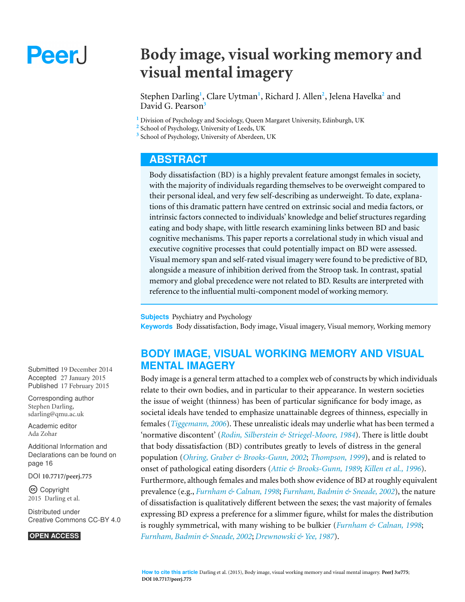# Peer.

## **Body image, visual working memory and visual mental imagery**

Stephen Darling**<sup>1</sup>** , Clare Uytman**<sup>1</sup>** , Richard J. Allen**<sup>2</sup>** , Jelena Havelka**<sup>2</sup>** and David G. Pearson**<sup>3</sup>**

**<sup>1</sup>** Division of Psychology and Sociology, Queen Margaret University, Edinburgh, UK

**2** School of Psychology, University of Leeds, UK

**3** School of Psychology, University of Aberdeen, UK

## **ABSTRACT**

Body dissatisfaction (BD) is a highly prevalent feature amongst females in society, with the majority of individuals regarding themselves to be overweight compared to their personal ideal, and very few self-describing as underweight. To date, explanations of this dramatic pattern have centred on extrinsic social and media factors, or intrinsic factors connected to individuals' knowledge and belief structures regarding eating and body shape, with little research examining links between BD and basic cognitive mechanisms. This paper reports a correlational study in which visual and executive cognitive processes that could potentially impact on BD were assessed. Visual memory span and self-rated visual imagery were found to be predictive of BD, alongside a measure of inhibition derived from the Stroop task. In contrast, spatial memory and global precedence were not related to BD. Results are interpreted with reference to the influential multi-component model of working memory.

**Subjects** Psychiatry and Psychology **Keywords** Body dissatisfaction, Body image, Visual imagery, Visual memory, Working memory

## **BODY IMAGE, VISUAL WORKING MEMORY AND VISUAL MENTAL IMAGERY**

Body image is a general term attached to a complex web of constructs by which individuals relate to their own bodies, and in particular to their appearance. In western societies the issue of weight (thinness) has been of particular significance for body image, as societal ideals have tended to emphasize unattainable degrees of thinness, especially in females (*[Tiggemann,](#page-21-0) [2006](#page-21-0)*). These unrealistic ideals may underlie what has been termed a 'normative discontent' (*[Rodin,](#page-20-0) [Silberstein](#page-20-0) [&](#page-20-0) [Striegel-Moore,](#page-20-0) [1984](#page-20-0)*). There is little doubt that body dissatisfaction (BD) contributes greatly to levels of distress in the general population (*[Ohring,](#page-19-0) [Graber](#page-19-0) [&](#page-19-0) [Brooks-Gunn,](#page-19-0) [2002](#page-19-0)*; *[Thompson,](#page-21-1) [1999](#page-21-1)*), and is related to onset of pathological eating disorders (*[Attie](#page-15-1) [&](#page-15-1) [Brooks-Gunn,](#page-15-1) [1989](#page-15-1)*; *[Killen](#page-18-0) [et](#page-18-0) [al.,](#page-18-0) [1996](#page-18-0)*). Furthermore, although females and males both show evidence of BD at roughly equivalent prevalence (e.g., *[Furnham](#page-17-0) [&](#page-17-0) [Calnan,](#page-17-0) [1998](#page-17-0)*; *[Furnham,](#page-17-1) [Badmin](#page-17-1) [&](#page-17-1) [Sneade,](#page-17-1) [2002](#page-17-1)*), the nature of dissatisfaction is qualitatively different between the sexes; the vast majority of females expressing BD express a preference for a slimmer figure, whilst for males the distribution is roughly symmetrical, with many wishing to be bulkier (*[Furnham](#page-17-0) [&](#page-17-0) [Calnan,](#page-17-0) [1998](#page-17-0)*; *[Furnham,](#page-17-1) [Badmin](#page-17-1) [&](#page-17-1) [Sneade,](#page-17-1) [2002](#page-17-1)*; *[Drewnowski](#page-17-2) [&](#page-17-2) [Yee,](#page-17-2) [1987](#page-17-2)*).

Submitted 19 December 2014 Accepted 27 January 2015 Published 17 February 2015

Corresponding author Stephen Darling, [sdarling@qmu.ac.uk](mailto:sdarling@qmu.ac.uk)

[Academic editor](https://peerj.com/academic-boards/editors/) [Ada Zohar](https://peerj.com/academic-boards/editors/)

[Additional Information and](#page-15-0) [Declarations can be found on](#page-15-0) [page 16](#page-15-0)

[DOI](http://dx.doi.org/10.7717/peerj.775) **[10.7717/peerj.775](http://dx.doi.org/10.7717/peerj.775)**

Copyright 2015 Darling et al.

[Distributed under](http://creativecommons.org/licenses/by/4.0/) [Creative Commons CC-BY 4.0](http://creativecommons.org/licenses/by/4.0/)

#### **OPEN ACCESS**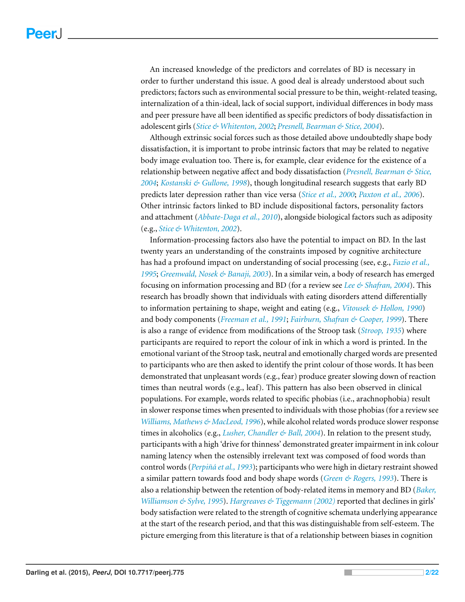An increased knowledge of the predictors and correlates of BD is necessary in order to further understand this issue. A good deal is already understood about such predictors; factors such as environmental social pressure to be thin, weight-related teasing, internalization of a thin-ideal, lack of social support, individual differences in body mass and peer pressure have all been identified as specific predictors of body dissatisfaction in adolescent girls (*[Stice](#page-20-1) [&](#page-20-1) [Whitenton,](#page-20-1) [2002](#page-20-1)*; *[Presnell,](#page-20-2) [Bearman](#page-20-2) [&](#page-20-2) [Stice,](#page-20-2) [2004](#page-20-2)*).

Although extrinsic social forces such as those detailed above undoubtedly shape body dissatisfaction, it is important to probe intrinsic factors that may be related to negative body image evaluation too. There is, for example, clear evidence for the existence of a relationship between negative affect and body dissatisfaction (*[Presnell,](#page-20-2) [Bearman](#page-20-2) [&](#page-20-2) [Stice,](#page-20-2) [2004](#page-20-2)*; *[Kostanski](#page-18-1) [&](#page-18-1) [Gullone,](#page-18-1) [1998](#page-18-1)*), though longitudinal research suggests that early BD predicts later depression rather than vice versa (*[Stice](#page-20-3) [et](#page-20-3) [al.,](#page-20-3) [2000](#page-20-3)*; *[Paxton](#page-19-1) [et](#page-19-1) [al.,](#page-19-1) [2006](#page-19-1)*). Other intrinsic factors linked to BD include dispositional factors, personality factors and attachment (*[Abbate-Daga](#page-15-2) [et](#page-15-2) [al.,](#page-15-2) [2010](#page-15-2)*), alongside biological factors such as adiposity (e.g., *[Stice](#page-20-1) [&](#page-20-1) [Whitenton,](#page-20-1) [2002](#page-20-1)*).

Information-processing factors also have the potential to impact on BD. In the last twenty years an understanding of the constraints imposed by cognitive architecture has had a profound impact on understanding of social processing (see, e.g., *[Fazio](#page-17-3) [et](#page-17-3) [al.,](#page-17-3) [1995](#page-17-3)*; *[Greenwald,](#page-18-2) [Nosek](#page-18-2) [&](#page-18-2) [Banaji,](#page-18-2) [2003](#page-18-2)*). In a similar vein, a body of research has emerged focusing on information processing and BD (for a review see *[Lee](#page-18-3) [&](#page-18-3) [Shafran,](#page-18-3) [2004](#page-18-3)*). This research has broadly shown that individuals with eating disorders attend differentially to information pertaining to shape, weight and eating (e.g., *[Vitousek](#page-21-2) [&](#page-21-2) [Hollon,](#page-21-2) [1990](#page-21-2)*) and body components (*[Freeman](#page-17-4) [et](#page-17-4) [al.,](#page-17-4) [1991](#page-17-4)*; *[Fairburn,](#page-17-5) [Shafran](#page-17-5) [&](#page-17-5) [Cooper,](#page-17-5) [1999](#page-17-5)*). There is also a range of evidence from modifications of the Stroop task (*[Stroop,](#page-21-3) [1935](#page-21-3)*) where participants are required to report the colour of ink in which a word is printed. In the emotional variant of the Stroop task, neutral and emotionally charged words are presented to participants who are then asked to identify the print colour of those words. It has been demonstrated that unpleasant words (e.g., fear) produce greater slowing down of reaction times than neutral words (e.g., leaf). This pattern has also been observed in clinical populations. For example, words related to specific phobias (i.e., arachnophobia) result in slower response times when presented to individuals with those phobias (for a review see *[Williams,](#page-21-4) [Mathews](#page-21-4) [&](#page-21-4) [MacLeod,](#page-21-4) [1996](#page-21-4)*), while alcohol related words produce slower response times in alcoholics (e.g., *[Lusher,](#page-19-2) [Chandler](#page-19-2) [&](#page-19-2) [Ball,](#page-19-2) [2004](#page-19-2)*). In relation to the present study, participants with a high 'drive for thinness' demonstrated greater impairment in ink colour naming latency when the ostensibly irrelevant text was composed of food words than control words (*[Perpin˜a´](#page-20-4) [et](#page-20-4) [al.,](#page-20-4) [1993](#page-20-4)*); participants who were high in dietary restraint showed a similar pattern towards food and body shape words (*[Green](#page-18-4) [&](#page-18-4) [Rogers,](#page-18-4) [1993](#page-18-4)*). There is also a relationship between the retention of body-related items in memory and BD (*[Baker,](#page-16-0) [Williamson](#page-16-0) [&](#page-16-0) [Sylve,](#page-16-0) [1995](#page-16-0)*). *[Hargreaves](#page-18-5) [&](#page-18-5) [Tiggemann](#page-18-5) [\(2002\)](#page-18-5)* reported that declines in girls' body satisfaction were related to the strength of cognitive schemata underlying appearance at the start of the research period, and that this was distinguishable from self-esteem. The picture emerging from this literature is that of a relationship between biases in cognition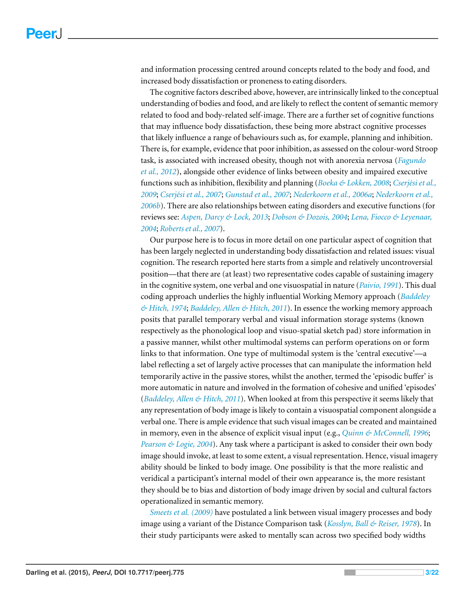and information processing centred around concepts related to the body and food, and increased body dissatisfaction or proneness to eating disorders.

The cognitive factors described above, however, are intrinsically linked to the conceptual understanding of bodies and food, and are likely to reflect the content of semantic memory related to food and body-related self-image. There are a further set of cognitive functions that may influence body dissatisfaction, these being more abstract cognitive processes that likely influence a range of behaviours such as, for example, planning and inhibition. There is, for example, evidence that poor inhibition, as assessed on the colour-word Stroop task, is associated with increased obesity, though not with anorexia nervosa (*[Fagundo](#page-17-6) [et](#page-17-6) [al.,](#page-17-6) [2012](#page-17-6)*), alongside other evidence of links between obesity and impaired executive functions such as inhibition, flexibility and planning (*[Boeka](#page-16-1) [&](#page-16-1) [Lokken,](#page-16-1) [2008](#page-16-1); Cserjési [et](#page-16-2) al.*, *[2009](#page-16-2)*; *[Cserj´esi](#page-16-3) [et](#page-16-3) [al.,](#page-16-3) [2007](#page-16-3)*; *[Gunstad](#page-18-6) [et](#page-18-6) [al.,](#page-18-6) [2007](#page-18-6)*; *[Nederkoorn](#page-19-3) [et](#page-19-3) [al.,](#page-19-3) [2006a](#page-19-3)*; *[Nederkoorn](#page-19-4) [et](#page-19-4) [al.,](#page-19-4) [2006b](#page-19-4)*). There are also relationships between eating disorders and executive functions (for reviews see: *[Aspen,](#page-15-3) [Darcy](#page-15-3) [&](#page-15-3) [Lock,](#page-15-3) [2013](#page-15-3)*; *[Dobson](#page-17-7) [&](#page-17-7) [Dozois,](#page-17-7) [2004](#page-17-7)*; *[Lena,](#page-18-7) [Fiocco](#page-18-7) [&](#page-18-7) [Leyenaar,](#page-18-7) [2004](#page-18-7)*; *[Robertset](#page-20-5) [al.,](#page-20-5) [2007](#page-20-5)*).

Our purpose here is to focus in more detail on one particular aspect of cognition that has been largely neglected in understanding body dissatisfaction and related issues: visual cognition. The research reported here starts from a simple and relatively uncontroversial position—that there are (at least) two representative codes capable of sustaining imagery in the cognitive system, one verbal and one visuospatial in nature (*[Paivio,](#page-19-5) [1991](#page-19-5)*). This dual coding approach underlies the highly influential Working Memory approach (*[Baddeley](#page-16-4) [&](#page-16-4) [Hitch,](#page-16-4) [1974](#page-16-4)*; *[Baddeley,](#page-16-5) [Allen](#page-16-5) [&](#page-16-5) [Hitch,](#page-16-5) [2011](#page-16-5)*). In essence the working memory approach posits that parallel temporary verbal and visual information storage systems (known respectively as the phonological loop and visuo-spatial sketch pad) store information in a passive manner, whilst other multimodal systems can perform operations on or form links to that information. One type of multimodal system is the 'central executive'—a label reflecting a set of largely active processes that can manipulate the information held temporarily active in the passive stores, whilst the another, termed the 'episodic buffer' is more automatic in nature and involved in the formation of cohesive and unified 'episodes' (*[Baddeley,](#page-16-5) [Allen](#page-16-5) [&](#page-16-5) [Hitch,](#page-16-5) [2011](#page-16-5)*). When looked at from this perspective it seems likely that any representation of body image is likely to contain a visuospatial component alongside a verbal one. There is ample evidence that such visual images can be created and maintained in memory, even in the absence of explicit visual input (e.g., *[Quinn](#page-20-6) [&](#page-20-6) [McConnell,](#page-20-6) [1996](#page-20-6)*; *[Pearson](#page-20-7) [&](#page-20-7) [Logie,](#page-20-7) [2004](#page-20-7)*). Any task where a participant is asked to consider their own body image should invoke, at least to some extent, a visual representation. Hence, visual imagery ability should be linked to body image. One possibility is that the more realistic and veridical a participant's internal model of their own appearance is, the more resistant they should be to bias and distortion of body image driven by social and cultural factors operationalized in semantic memory.

*[Smeets](#page-20-8) [et](#page-20-8) [al.](#page-20-8) [\(2009\)](#page-20-8)* have postulated a link between visual imagery processes and body image using a variant of the Distance Comparison task (*[Kosslyn,](#page-18-8) [Ball](#page-18-8) [&](#page-18-8) [Reiser,](#page-18-8) [1978](#page-18-8)*). In their study participants were asked to mentally scan across two specified body widths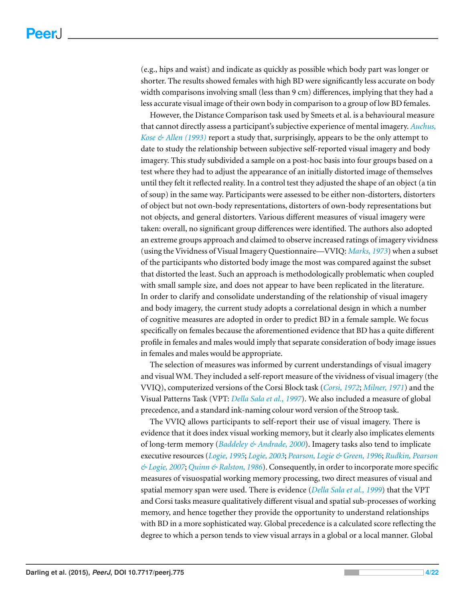(e.g., hips and waist) and indicate as quickly as possible which body part was longer or shorter. The results showed females with high BD were significantly less accurate on body width comparisons involving small (less than 9 cm) differences, implying that they had a less accurate visual image of their own body in comparison to a group of low BD females.

However, the Distance Comparison task used by Smeets et al. is a behavioural measure that cannot directly assess a participant's subjective experience of mental imagery. *[Auchus,](#page-16-6) [Kose](#page-16-6) [&](#page-16-6) [Allen](#page-16-6) [\(1993\)](#page-16-6)* report a study that, surprisingly, appears to be the only attempt to date to study the relationship between subjective self-reported visual imagery and body imagery. This study subdivided a sample on a post-hoc basis into four groups based on a test where they had to adjust the appearance of an initially distorted image of themselves until they felt it reflected reality. In a control test they adjusted the shape of an object (a tin of soup) in the same way. Participants were assessed to be either non-distorters, distorters of object but not own-body representations, distorters of own-body representations but not objects, and general distorters. Various different measures of visual imagery were taken: overall, no significant group differences were identified. The authors also adopted an extreme groups approach and claimed to observe increased ratings of imagery vividness (using the Vividness of Visual Imagery Questionnaire—VVIQ: *[Marks,](#page-19-6) [1973](#page-19-6)*) when a subset of the participants who distorted body image the most was compared against the subset that distorted the least. Such an approach is methodologically problematic when coupled with small sample size, and does not appear to have been replicated in the literature. In order to clarify and consolidate understanding of the relationship of visual imagery and body imagery, the current study adopts a correlational design in which a number of cognitive measures are adopted in order to predict BD in a female sample. We focus specifically on females because the aforementioned evidence that BD has a quite different profile in females and males would imply that separate consideration of body image issues in females and males would be appropriate.

The selection of measures was informed by current understandings of visual imagery and visual WM. They included a self-report measure of the vividness of visual imagery (the VVIQ), computerized versions of the Corsi Block task (*[Corsi,](#page-16-7) [1972](#page-16-7)*; *[Milner,](#page-19-7) [1971](#page-19-7)*) and the Visual Patterns Task (VPT: *[Della](#page-17-8) [Sala](#page-17-8) [et](#page-17-8) [al.,](#page-17-8) [1997](#page-17-8)*). We also included a measure of global precedence, and a standard ink-naming colour word version of the Stroop task.

The VVIQ allows participants to self-report their use of visual imagery. There is evidence that it does index visual working memory, but it clearly also implicates elements of long-term memory (*[Baddeley](#page-16-8) [&](#page-16-8) [Andrade,](#page-16-8) [2000](#page-16-8)*). Imagery tasks also tend to implicate executive resources (*[Logie,](#page-18-9) [1995](#page-18-9)*; *[Logie,](#page-18-10) [2003](#page-18-10)*; *[Pearson,](#page-20-9) [Logie](#page-20-9) [&](#page-20-9) [Green,](#page-20-9) [1996](#page-20-9)*; *[Rudkin,](#page-20-10) [Pearson](#page-20-10) [&](#page-20-10) [Logie,](#page-20-10) [2007](#page-20-10)*; *[Quinn](#page-20-11) [&](#page-20-11) [Ralston,](#page-20-11) [1986](#page-20-11)*). Consequently, in order to incorporate more specific measures of visuospatial working memory processing, two direct measures of visual and spatial memory span were used. There is evidence (*[Della](#page-17-9) [Sala](#page-17-9) [et](#page-17-9) [al.,](#page-17-9) [1999](#page-17-9)*) that the VPT and Corsi tasks measure qualitatively different visual and spatial sub-processes of working memory, and hence together they provide the opportunity to understand relationships with BD in a more sophisticated way. Global precedence is a calculated score reflecting the degree to which a person tends to view visual arrays in a global or a local manner. Global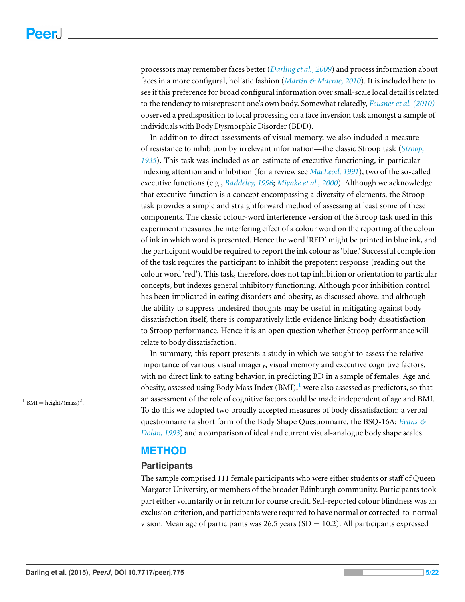processors may remember faces better (*[Darling](#page-17-10) [et](#page-17-10) [al.,](#page-17-10) [2009](#page-17-10)*) and process information about faces in a more configural, holistic fashion (*[Martin](#page-19-8) [&](#page-19-8) [Macrae,](#page-19-8) [2010](#page-19-8)*). It is included here to see if this preference for broad configural information over small-scale local detail is related to the tendency to misrepresent one's own body. Somewhat relatedly, *[Feusner](#page-17-11) [et](#page-17-11) [al.](#page-17-11) [\(2010\)](#page-17-11)* observed a predisposition to local processing on a face inversion task amongst a sample of individuals with Body Dysmorphic Disorder (BDD).

In addition to direct assessments of visual memory, we also included a measure of resistance to inhibition by irrelevant information—the classic Stroop task (*[Stroop,](#page-21-3) [1935](#page-21-3)*). This task was included as an estimate of executive functioning, in particular indexing attention and inhibition (for a review see *[MacLeod,](#page-19-9) [1991](#page-19-9)*), two of the so-called executive functions (e.g., *[Baddeley,](#page-16-9) [1996](#page-16-9)*; *[Miyake](#page-19-10) [et](#page-19-10) [al.,](#page-19-10) [2000](#page-19-10)*). Although we acknowledge that executive function is a concept encompassing a diversity of elements, the Stroop task provides a simple and straightforward method of assessing at least some of these components. The classic colour-word interference version of the Stroop task used in this experiment measures the interfering effect of a colour word on the reporting of the colour of ink in which word is presented. Hence the word 'RED' might be printed in blue ink, and the participant would be required to report the ink colour as 'blue.' Successful completion of the task requires the participant to inhibit the prepotent response (reading out the colour word 'red'). This task, therefore, does not tap inhibition or orientation to particular concepts, but indexes general inhibitory functioning. Although poor inhibition control has been implicated in eating disorders and obesity, as discussed above, and although the ability to suppress undesired thoughts may be useful in mitigating against body dissatisfaction itself, there is comparatively little evidence linking body dissatisfaction to Stroop performance. Hence it is an open question whether Stroop performance will relate to body dissatisfaction.

In summary, this report presents a study in which we sought to assess the relative importance of various visual imagery, visual memory and executive cognitive factors, with no direct link to eating behavior, in predicting BD in a sample of females. Age and obesity, assessed using Body Mass Index  $(BMI)$ , were also assessed as predictors, so that an assessment of the role of cognitive factors could be made independent of age and BMI. To do this we adopted two broadly accepted measures of body dissatisfaction: a verbal questionnaire (a short form of the Body Shape Questionnaire, the BSQ-16A: *[Evans](#page-17-12) [&](#page-17-12) [Dolan,](#page-17-12) [1993](#page-17-12)*) and a comparison of ideal and current visual-analogue body shape scales.

## **METHOD**

#### **Participants**

The sample comprised 111 female participants who were either students or staff of Queen Margaret University, or members of the broader Edinburgh community. Participants took part either voluntarily or in return for course credit. Self-reported colour blindness was an exclusion criterion, and participants were required to have normal or corrected-to-normal vision. Mean age of participants was  $26.5$  years (SD = 10.2). All participants expressed

<span id="page-4-0"></span><sup>1</sup> BMI = height/(mass)<sup>2</sup>.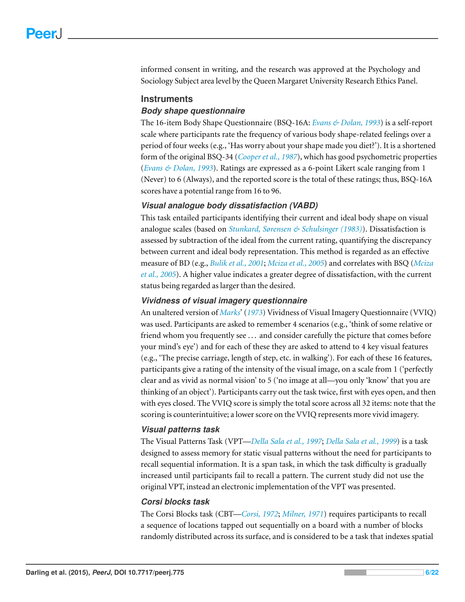informed consent in writing, and the research was approved at the Psychology and Sociology Subject area level by the Queen Margaret University Research Ethics Panel.

#### **Instruments**

#### *Body shape questionnaire*

The 16-item Body Shape Questionnaire (BSQ-16A: *[Evans](#page-17-12) [&](#page-17-12) [Dolan,](#page-17-12) [1993](#page-17-12)*) is a self-report scale where participants rate the frequency of various body shape-related feelings over a period of four weeks (e.g., 'Has worry about your shape made you diet?'). It is a shortened form of the original BSQ-34 (*[Cooper](#page-16-10) [et](#page-16-10) [al.,](#page-16-10) [1987](#page-16-10)*), which has good psychometric properties (*[Evans](#page-17-12) [&](#page-17-12) [Dolan,](#page-17-12) [1993](#page-17-12)*). Ratings are expressed as a 6-point Likert scale ranging from 1 (Never) to 6 (Always), and the reported score is the total of these ratings; thus, BSQ-16A scores have a potential range from 16 to 96.

#### *Visual analogue body dissatisfaction (VABD)*

This task entailed participants identifying their current and ideal body shape on visual analogue scales (based on *[Stunkard,](#page-21-5) [Sørensen](#page-21-5) [&](#page-21-5) [Schulsinger](#page-21-5) [\(1983\)](#page-21-5)*). Dissatisfaction is assessed by subtraction of the ideal from the current rating, quantifying the discrepancy between current and ideal body representation. This method is regarded as an effective measure of BD (e.g., *[Bulik](#page-16-11) [et](#page-16-11) [al.,](#page-16-11) [2001](#page-16-11)*; *[Mciza](#page-19-11) [et](#page-19-11) [al.,](#page-19-11) [2005](#page-19-11)*) and correlates with BSQ (*[Mciza](#page-19-11) [et](#page-19-11) [al.,](#page-19-11) [2005](#page-19-11)*). A higher value indicates a greater degree of dissatisfaction, with the current status being regarded as larger than the desired.

#### *Vividness of visual imagery questionnaire*

An unaltered version of *[Marks](#page-19-6)*' (*[1973](#page-19-6)*) Vividness of Visual Imagery Questionnaire (VVIQ) was used. Participants are asked to remember 4 scenarios (e.g., 'think of some relative or friend whom you frequently see . . . and consider carefully the picture that comes before your mind's eye') and for each of these they are asked to attend to 4 key visual features (e.g., 'The precise carriage, length of step, etc. in walking'). For each of these 16 features, participants give a rating of the intensity of the visual image, on a scale from 1 ('perfectly clear and as vivid as normal vision' to 5 ('no image at all—you only 'know' that you are thinking of an object'). Participants carry out the task twice, first with eyes open, and then with eyes closed. The VVIQ score is simply the total score across all 32 items: note that the scoring is counterintuitive; a lower score on the VVIQ represents more vivid imagery.

#### *Visual patterns task*

The Visual Patterns Task (VPT—*[Della](#page-17-8) [Sala](#page-17-8) [et](#page-17-8) [al.,](#page-17-8) [1997](#page-17-8)*; *[Della](#page-17-9) [Sala](#page-17-9) [et](#page-17-9) [al.,](#page-17-9) [1999](#page-17-9)*) is a task designed to assess memory for static visual patterns without the need for participants to recall sequential information. It is a span task, in which the task difficulty is gradually increased until participants fail to recall a pattern. The current study did not use the original VPT, instead an electronic implementation of the VPT was presented.

#### *Corsi blocks task*

The Corsi Blocks task (CBT—*[Corsi,](#page-16-7) [1972](#page-16-7)*; *[Milner,](#page-19-7) [1971](#page-19-7)*) requires participants to recall a sequence of locations tapped out sequentially on a board with a number of blocks randomly distributed across its surface, and is considered to be a task that indexes spatial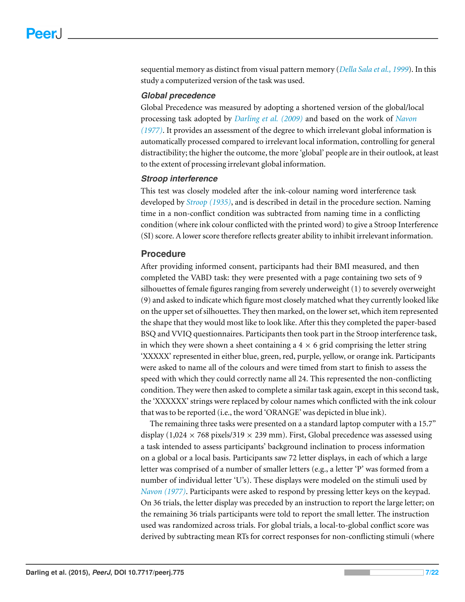sequential memory as distinct from visual pattern memory (*[Della](#page-17-9) [Sala](#page-17-9) [et](#page-17-9) [al.,](#page-17-9) [1999](#page-17-9)*). In this study a computerized version of the task was used.

#### *Global precedence*

Global Precedence was measured by adopting a shortened version of the global/local processing task adopted by *[Darling](#page-17-10) [et](#page-17-10) [al.](#page-17-10) [\(2009\)](#page-17-10)* and based on the work of *[Navon](#page-19-12) [\(1977\)](#page-19-12)*. It provides an assessment of the degree to which irrelevant global information is automatically processed compared to irrelevant local information, controlling for general distractibility; the higher the outcome, the more 'global' people are in their outlook, at least to the extent of processing irrelevant global information.

#### *Stroop interference*

This test was closely modeled after the ink-colour naming word interference task developed by *[Stroop](#page-21-3) [\(1935\)](#page-21-3)*, and is described in detail in the procedure section. Naming time in a non-conflict condition was subtracted from naming time in a conflicting condition (where ink colour conflicted with the printed word) to give a Stroop Interference (SI) score. A lower score therefore reflects greater ability to inhibit irrelevant information.

#### **Procedure**

After providing informed consent, participants had their BMI measured, and then completed the VABD task: they were presented with a page containing two sets of 9 silhouettes of female figures ranging from severely underweight (1) to severely overweight (9) and asked to indicate which figure most closely matched what they currently looked like on the upper set of silhouettes. They then marked, on the lower set, which item represented the shape that they would most like to look like. After this they completed the paper-based BSQ and VVIQ questionnaires. Participants then took part in the Stroop interference task, in which they were shown a sheet containing a  $4 \times 6$  grid comprising the letter string 'XXXXX' represented in either blue, green, red, purple, yellow, or orange ink. Participants were asked to name all of the colours and were timed from start to finish to assess the speed with which they could correctly name all 24. This represented the non-conflicting condition. They were then asked to complete a similar task again, except in this second task, the 'XXXXXX' strings were replaced by colour names which conflicted with the ink colour that was to be reported (i.e., the word 'ORANGE' was depicted in blue ink).

The remaining three tasks were presented on a a standard laptop computer with a 15.7" display (1,024  $\times$  768 pixels/319  $\times$  239 mm). First, Global precedence was assessed using a task intended to assess participants' background inclination to process information on a global or a local basis. Participants saw 72 letter displays, in each of which a large letter was comprised of a number of smaller letters (e.g., a letter 'P' was formed from a number of individual letter 'U's). These displays were modeled on the stimuli used by *[Navon](#page-19-12) [\(1977\)](#page-19-12)*. Participants were asked to respond by pressing letter keys on the keypad. On 36 trials, the letter display was preceded by an instruction to report the large letter; on the remaining 36 trials participants were told to report the small letter. The instruction used was randomized across trials. For global trials, a local-to-global conflict score was derived by subtracting mean RTs for correct responses for non-conflicting stimuli (where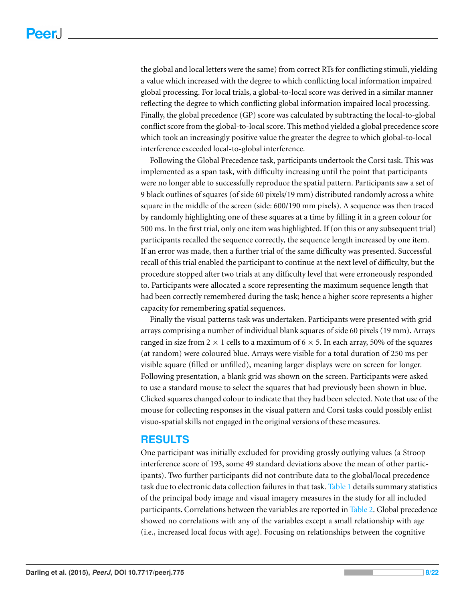the global and local letters were the same) from correct RTs for conflicting stimuli, yielding a value which increased with the degree to which conflicting local information impaired global processing. For local trials, a global-to-local score was derived in a similar manner reflecting the degree to which conflicting global information impaired local processing. Finally, the global precedence (GP) score was calculated by subtracting the local-to-global conflict score from the global-to-local score. This method yielded a global precedence score which took an increasingly positive value the greater the degree to which global-to-local interference exceeded local-to-global interference.

Following the Global Precedence task, participants undertook the Corsi task. This was implemented as a span task, with difficulty increasing until the point that participants were no longer able to successfully reproduce the spatial pattern. Participants saw a set of 9 black outlines of squares (of side 60 pixels/19 mm) distributed randomly across a white square in the middle of the screen (side: 600/190 mm pixels). A sequence was then traced by randomly highlighting one of these squares at a time by filling it in a green colour for 500 ms. In the first trial, only one item was highlighted. If (on this or any subsequent trial) participants recalled the sequence correctly, the sequence length increased by one item. If an error was made, then a further trial of the same difficulty was presented. Successful recall of this trial enabled the participant to continue at the next level of difficulty, but the procedure stopped after two trials at any difficulty level that were erroneously responded to. Participants were allocated a score representing the maximum sequence length that had been correctly remembered during the task; hence a higher score represents a higher capacity for remembering spatial sequences.

Finally the visual patterns task was undertaken. Participants were presented with grid arrays comprising a number of individual blank squares of side 60 pixels (19 mm). Arrays ranged in size from 2  $\times$  1 cells to a maximum of 6  $\times$  5. In each array, 50% of the squares (at random) were coloured blue. Arrays were visible for a total duration of 250 ms per visible square (filled or unfilled), meaning larger displays were on screen for longer. Following presentation, a blank grid was shown on the screen. Participants were asked to use a standard mouse to select the squares that had previously been shown in blue. Clicked squares changed colour to indicate that they had been selected. Note that use of the mouse for collecting responses in the visual pattern and Corsi tasks could possibly enlist visuo-spatial skills not engaged in the original versions of these measures.

## **RESULTS**

One participant was initially excluded for providing grossly outlying values (a Stroop interference score of 193, some 49 standard deviations above the mean of other participants). Two further participants did not contribute data to the global/local precedence task due to electronic data collection failures in that task. [Table 1](#page-8-0) details summary statistics of the principal body image and visual imagery measures in the study for all included participants. Correlations between the variables are reported in [Table 2.](#page-8-1) Global precedence showed no correlations with any of the variables except a small relationship with age (i.e., increased local focus with age). Focusing on relationships between the cognitive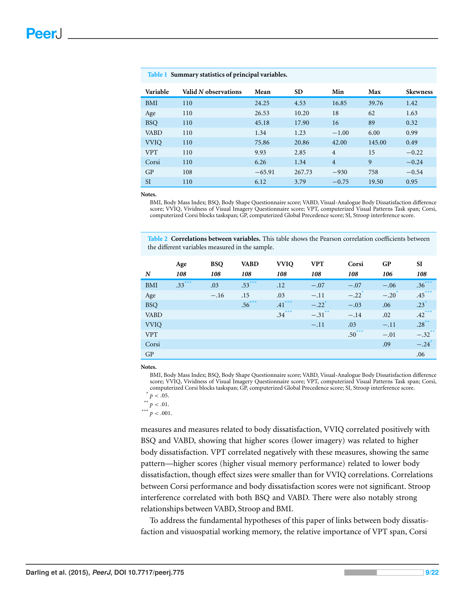| Variable    | Valid N observations | Mean     | <b>SD</b> | Min            | Max    | <b>Skewness</b> |
|-------------|----------------------|----------|-----------|----------------|--------|-----------------|
| <b>BMI</b>  | 110                  | 24.25    | 4.53      | 16.85          | 39.76  | 1.42            |
| Age         | 110                  | 26.53    | 10.20     | 18             | 62     | 1.63            |
| <b>BSO</b>  | 110                  | 45.18    | 17.90     | 16             | 89     | 0.32            |
| <b>VABD</b> | 110                  | 1.34     | 1.23      | $-1.00$        | 6.00   | 0.99            |
| <b>VVIO</b> | 110                  | 75.86    | 20.86     | 42.00          | 145.00 | 0.49            |
| <b>VPT</b>  | 110                  | 9.93     | 2.85      | $\overline{4}$ | 15     | $-0.22$         |
| Corsi       | 110                  | 6.26     | 1.34      | $\overline{4}$ | 9      | $-0.24$         |
| GP          | 108                  | $-65.91$ | 267.73    | $-930$         | 758    | $-0.54$         |
| <b>SI</b>   | 110                  | 6.12     | 3.79      | $-0.75$        | 19.50  | 0.95            |

#### <span id="page-8-0"></span>**Table 1 Summary statistics of principal variables.**

**Notes.**

BMI, Body Mass Index; BSQ, Body Shape Questionnaire score; VABD, Visual-Analogue Body Dissatisfaction difference score; VVIQ, Vividness of Visual Imagery Questionnaire score; VPT, computerized Visual Patterns Task span; Corsi, computerized Corsi blocks taskspan; GP, computerized Global Precedence score; SI, Stroop interference score.

<span id="page-8-1"></span>**Table 2 Correlations between variables.** This table shows the Pearson correlation coefficients between the different variables measured in the sample.

|                  | Age      | <b>BSQ</b> | <b>VABD</b> | <b>VVIO</b> | <b>VPT</b>           | Corsi               | <b>GP</b>        | SI                   |
|------------------|----------|------------|-------------|-------------|----------------------|---------------------|------------------|----------------------|
| $\boldsymbol{N}$ | 108      | 108        | 108         | 108         | 108                  | 108                 | 106              | 108                  |
| <b>BMI</b>       | $.33***$ | .03        | $.53***$    | .12         | $-.07$               | $-.07$              | $-.06$           | $.36***$             |
| Age              |          | $-.16$     | .15         | .03         | $-.11$               | $-.22$ <sup>*</sup> | $-.20^{\degree}$ | $.45***$             |
| <b>BSQ</b>       |          |            | $.56***$    | $-41***$    | $-.22$ <sup>*</sup>  | $-.03$              | .06              | $.23*$               |
| <b>VABD</b>      |          |            |             | $.34***$    | $-.31$ <sup>**</sup> | $-.14$              | .02              | $.42***$             |
| <b>VVIO</b>      |          |            |             |             | $-.11$               | .03                 | $-.11$           | $.28***$             |
| <b>VPT</b>       |          |            |             |             |                      | $.50***$            | $-.01$           | $-.32$ <sup>**</sup> |
| Corsi            |          |            |             |             |                      |                     | .09              | $-.24$ <sup>*</sup>  |
| GP               |          |            |             |             |                      |                     |                  | .06                  |

**Notes.**

BMI, Body Mass Index; BSQ, Body Shape Questionnaire score; VABD, Visual-Analogue Body Dissatisfaction difference score; VVIQ, Vividness of Visual Imagery Questionnaire score; VPT, computerized Visual Patterns Task span; Corsi, computerized Corsi blocks taskspan; GP, computerized Global Precedence score; SI, Stroop interference score.

<span id="page-8-2"></span> $p < .001$ .

measures and measures related to body dissatisfaction, VVIQ correlated positively with BSQ and VABD, showing that higher scores (lower imagery) was related to higher body dissatisfaction. VPT correlated negatively with these measures, showing the same pattern—higher scores (higher visual memory performance) related to lower body dissatisfaction, though effect sizes were smaller than for VVIQ correlations. Correlations between Corsi performance and body dissatisfaction scores were not significant. Stroop interference correlated with both BSQ and VABD. There were also notably strong relationships between VABD, Stroop and BMI.

To address the fundamental hypotheses of this paper of links between body dissatisfaction and visuospatial working memory, the relative importance of VPT span, Corsi

<span id="page-8-3"></span> $\sum_{**} p < .05.$ 

<span id="page-8-4"></span> $\sum_{**}^{**} p < .01.$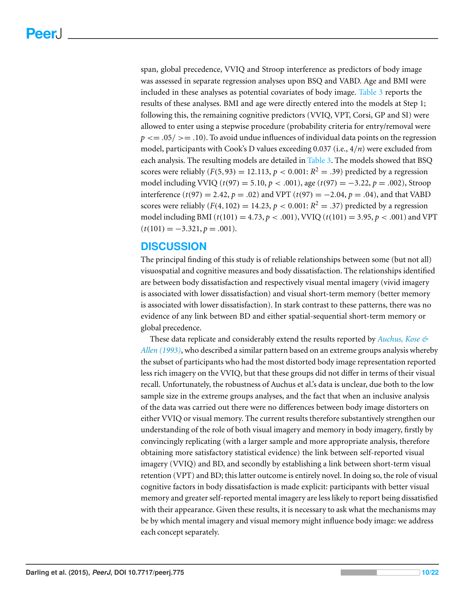span, global precedence, VVIQ and Stroop interference as predictors of body image was assessed in separate regression analyses upon BSQ and VABD. Age and BMI were included in these analyses as potential covariates of body image. [Table 3](#page-10-0) reports the results of these analyses. BMI and age were directly entered into the models at Step 1; following this, the remaining cognitive predictors (VVIQ, VPT, Corsi, GP and SI) were allowed to enter using a stepwise procedure (probability criteria for entry/removal were  $p \leq 0.05$   $> = 0.10$ ). To avoid undue influences of individual data points on the regression model, participants with Cook's D values exceeding 0.037 (i.e., 4/*n*) were excluded from each analysis. The resulting models are detailed in [Table 3.](#page-10-0) The models showed that BSQ scores were reliably  $(F(5,93) = 12.113, p < 0.001; R^2 = .39)$  predicted by a regression model including VVIQ (*t*(97) = 5.10, *p* < .001), age (*t*(97) = −3.22, *p* = .002), Stroop interference (*t*(97) = 2.42, *p* = .02) and VPT (*t*(97) = −2.04, *p* = .04), and that VABD scores were reliably  $(F(4, 102) = 14.23, p < 0.001; R<sup>2</sup> = .37)$  predicted by a regression model including BMI ( $t(101) = 4.73$ ,  $p < .001$ ), VVIQ ( $t(101) = 3.95$ ,  $p < .001$ ) and VPT  $(t(101) = -3.321, p = .001).$ 

## **DISCUSSION**

The principal finding of this study is of reliable relationships between some (but not all) visuospatial and cognitive measures and body dissatisfaction. The relationships identified are between body dissatisfaction and respectively visual mental imagery (vivid imagery is associated with lower dissatisfaction) and visual short-term memory (better memory is associated with lower dissatisfaction). In stark contrast to these patterns, there was no evidence of any link between BD and either spatial-sequential short-term memory or global precedence.

These data replicate and considerably extend the results reported by *[Auchus,](#page-16-6) [Kose](#page-16-6) [&](#page-16-6) [Allen](#page-16-6) [\(1993\)](#page-16-6)*, who described a similar pattern based on an extreme groups analysis whereby the subset of participants who had the most distorted body image representation reported less rich imagery on the VVIQ, but that these groups did not differ in terms of their visual recall. Unfortunately, the robustness of Auchus et al.'s data is unclear, due both to the low sample size in the extreme groups analyses, and the fact that when an inclusive analysis of the data was carried out there were no differences between body image distorters on either VVIQ or visual memory. The current results therefore substantively strengthen our understanding of the role of both visual imagery and memory in body imagery, firstly by convincingly replicating (with a larger sample and more appropriate analysis, therefore obtaining more satisfactory statistical evidence) the link between self-reported visual imagery (VVIQ) and BD, and secondly by establishing a link between short-term visual retention (VPT) and BD; this latter outcome is entirely novel. In doing so, the role of visual cognitive factors in body dissatisfaction is made explicit: participants with better visual memory and greater self-reported mental imagery are less likely to report being dissatisfied with their appearance. Given these results, it is necessary to ask what the mechanisms may be by which mental imagery and visual memory might influence body image: we address each concept separately.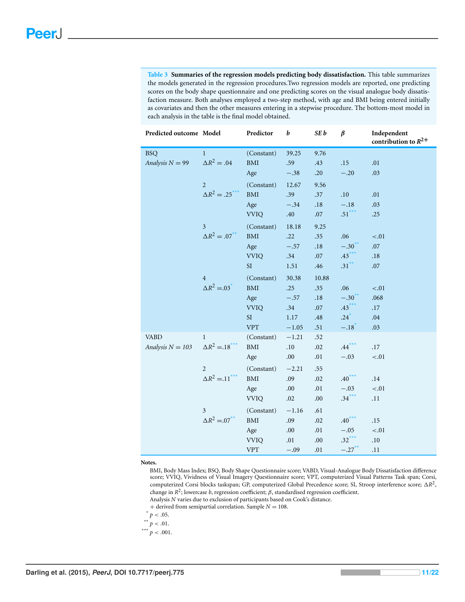<span id="page-10-0"></span>**Table 3 Summaries of the regression models predicting body dissatisfaction.** This table summarizes the models generated in the regression procedures.Two regression models are reported, one predicting scores on the body shape questionnaire and one predicting scores on the visual analogue body dissatisfaction measure. Both analyses employed a two-step method, with age and BMI being entered initially as covariates and then the other measures entering in a stepwise procedure. The bottom-most model in each analysis in the table is the final model obtained.

| Predicted outcome Model |                                  | Predictor                   | b       | SE b      | $\beta$             | Independent<br>contribution to $R^{2+}$ |
|-------------------------|----------------------------------|-----------------------------|---------|-----------|---------------------|-----------------------------------------|
| <b>BSQ</b>              | $\mathbf{1}$                     | (Constant)                  | 39.25   | 9.76      |                     |                                         |
| Analysis $N = 99$       | $\Delta R^2 = .04$               | $\operatorname{BMI}$        | .59     | .43       | .15                 | $.01\,$                                 |
|                         |                                  | Age                         | $-.38$  | .20       | $-.20$              | .03                                     |
|                         | $\overline{2}$                   | (Constant)                  | 12.67   | 9.56      |                     |                                         |
|                         | $\Delta R^2 = .25$               | BMI                         | .39     | .37       | $.10\,$             | .01                                     |
|                         |                                  | Age                         | $-.34$  | $.18\,$   | $-.18$              | .03                                     |
|                         |                                  | <b>VVIQ</b>                 | .40     | .07       | $.51***$            | .25                                     |
|                         | $\overline{3}$                   | (Constant)                  | 18.18   | 9.25      |                     |                                         |
|                         | $\Delta R^2 = .07$ <sup>**</sup> | <b>BMI</b>                  | .22     | .35       | .06                 | ${<}.01$                                |
|                         |                                  | Age                         | $-.57$  | $.18\,$   | $-.30°$             | .07                                     |
|                         |                                  | <b>VVIQ</b>                 | .34     | .07       | $.43***$            | $.18\,$                                 |
|                         |                                  | $\rm SI$                    | 1.51    | .46       | $.31***$            | $.07\,$                                 |
|                         | $\overline{4}$                   | (Constant)                  | 30.38   | $10.88\,$ |                     |                                         |
|                         | $\Delta R^2 = 03^*$              | $\operatorname{BMI}$        | .25     | .35       | .06                 | $-.01$                                  |
|                         |                                  | Age                         | $-.57$  | $.18\,$   | $-.30^{\dagger}$    | .068                                    |
|                         |                                  | <b>VVIQ</b>                 | .34     | $.07\,$   | $.43$ <sup>*</sup>  | .17                                     |
|                         |                                  | <b>SI</b>                   | 1.17    | .48       | $.24$ <sup>*</sup>  | .04                                     |
|                         |                                  | <b>VPT</b>                  | $-1.05$ | .51       | $-.18$ <sup>*</sup> | .03                                     |
| <b>VABD</b>             | $\mathbf{1}$                     | (Constant)                  | $-1.21$ | .52       |                     |                                         |
| Analysis $N = 103$      | $\Delta R^2 = .18^*$             | $\operatorname{BMI}$        | .10     | .02       | $.44***$            | .17                                     |
|                         |                                  | Age                         | .00.    | .01       | $-.03$              | $< 01$                                  |
|                         | $\overline{2}$                   | (Constant)                  | $-2.21$ | .55       |                     |                                         |
|                         | $\Delta R^2 = 11$                | $\operatorname{BMI}$        | .09     | .02       | $.40***$            | .14                                     |
|                         |                                  | Age                         | .00.    | .01       | $-.03$              | $-.01$                                  |
|                         |                                  | <b>VVIQ</b>                 | .02     | .00.      | $.34***$            | .11                                     |
|                         | 3                                | (Constant)                  | $-1.16$ | .61       |                     |                                         |
|                         | $\Delta R^2 = 07$ <sup>**</sup>  | <b>BMI</b>                  | .09     | .02       | $.40***$            | .15                                     |
|                         |                                  | Age                         | .00.    | .01       | $-.05$              | ${<}.01$                                |
|                         |                                  | <b>VVIQ</b>                 | .01     | .00.      | $.32***$            | $.10\,$                                 |
|                         |                                  | $\ensuremath{\mathsf{VPT}}$ | $-.09$  | .01       | $-.27$ <sup>*</sup> | .11                                     |

**Notes.**

BMI, Body Mass Index; BSQ, Body Shape Questionnaire score; VABD, Visual-Analogue Body Dissatisfaction difference score; VVIQ, Vividness of Visual Imagery Questionnaire score; VPT, computerized Visual Patterns Task span; Corsi, computerized Corsi blocks taskspan; GP, computerized Global Precedence score; SI, Stroop interference score; Δ*R* 2 , change in  $R^2$ ; lowercase *b*, regression coefficient;  $\beta$ , standardised regression coefficient. Analysis *N* varies due to exclusion of participants based on Cook's distance.

 $+$  derived from semipartial correlation. Sample  $N = 108$ .

 $p < .05$ .

<span id="page-10-3"></span><span id="page-10-2"></span> $p < .01$ .

<span id="page-10-1"></span>\*\*\*  $p$  < .001.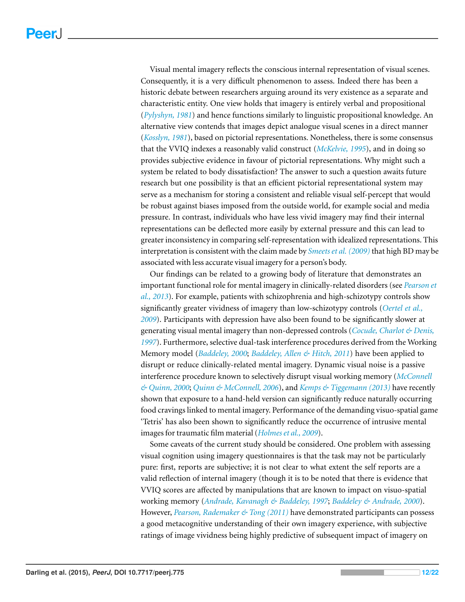Visual mental imagery reflects the conscious internal representation of visual scenes. Consequently, it is a very difficult phenomenon to assess. Indeed there has been a historic debate between researchers arguing around its very existence as a separate and characteristic entity. One view holds that imagery is entirely verbal and propositional (*[Pylyshyn,](#page-20-12) [1981](#page-20-12)*) and hence functions similarly to linguistic propositional knowledge. An alternative view contends that images depict analogue visual scenes in a direct manner (*[Kosslyn,](#page-18-11) [1981](#page-18-11)*), based on pictorial representations. Nonetheless, there is some consensus that the VVIQ indexes a reasonably valid construct (*[McKelvie,](#page-19-13) [1995](#page-19-13)*), and in doing so provides subjective evidence in favour of pictorial representations. Why might such a system be related to body dissatisfaction? The answer to such a question awaits future research but one possibility is that an efficient pictorial representational system may serve as a mechanism for storing a consistent and reliable visual self-percept that would be robust against biases imposed from the outside world, for example social and media pressure. In contrast, individuals who have less vivid imagery may find their internal representations can be deflected more easily by external pressure and this can lead to greater inconsistency in comparing self-representation with idealized representations. This interpretation is consistent with the claim made by *[Smeetset](#page-20-8) [al.\(2009\)](#page-20-8)*that high BD may be associated with less accurate visual imagery for a person's body.

Our findings can be related to a growing body of literature that demonstrates an important functional role for mental imagery in clinically-related disorders (see *[Pearson](#page-20-13) [et](#page-20-13) [al.,](#page-20-13) [2013](#page-20-13)*). For example, patients with schizophrenia and high-schizotypy controls show significantly greater vividness of imagery than low-schizotypy controls (*[Oertel](#page-19-14) [et](#page-19-14) [al.,](#page-19-14) [2009](#page-19-14)*). Participants with depression have also been found to be significantly slower at generating visual mental imagery than non-depressed controls (*[Cocude,](#page-16-12) [Charlot](#page-16-12) [&](#page-16-12) [Denis,](#page-16-12) [1997](#page-16-12)*). Furthermore, selective dual-task interference procedures derived from the Working Memory model (*[Baddeley,](#page-16-13) [2000](#page-16-13)*; *[Baddeley,](#page-16-5) [Allen](#page-16-5) [&](#page-16-5) [Hitch,](#page-16-5) [2011](#page-16-5)*) have been applied to disrupt or reduce clinically-related mental imagery. Dynamic visual noise is a passive interference procedure known to selectively disrupt visual working memory (*[McConnell](#page-19-15) [&](#page-19-15) [Quinn,](#page-19-15) [2000](#page-19-15)*; *[Quinn](#page-20-14) [&](#page-20-14) [McConnell,](#page-20-14) [2006](#page-20-14)*), and *[Kemps](#page-18-12) [&](#page-18-12) [Tiggemann](#page-18-12) [\(2013\)](#page-18-12)* have recently shown that exposure to a hand-held version can significantly reduce naturally occurring food cravings linked to mental imagery. Performance of the demanding visuo-spatial game 'Tetris' has also been shown to significantly reduce the occurrence of intrusive mental images for traumatic film material (*Holmes et [al.,](#page-18-13) [2009](#page-18-13)*).

Some caveats of the current study should be considered. One problem with assessing visual cognition using imagery questionnaires is that the task may not be particularly pure: first, reports are subjective; it is not clear to what extent the self reports are a valid reflection of internal imagery (though it is to be noted that there is evidence that VVIQ scores are affected by manipulations that are known to impact on visuo-spatial working memory (*[Andrade,](#page-15-4) [Kavanagh](#page-15-4) [&](#page-15-4) [Baddeley,](#page-15-4) [1997](#page-15-4)*; *[Baddeley](#page-16-8) [&](#page-16-8) [Andrade,](#page-16-8) [2000](#page-16-8)*). However, *[Pearson,](#page-20-15) [Rademaker](#page-20-15) [&](#page-20-15) [Tong](#page-20-15) [\(2011\)](#page-20-15)* have demonstrated participants can possess a good metacognitive understanding of their own imagery experience, with subjective ratings of image vividness being highly predictive of subsequent impact of imagery on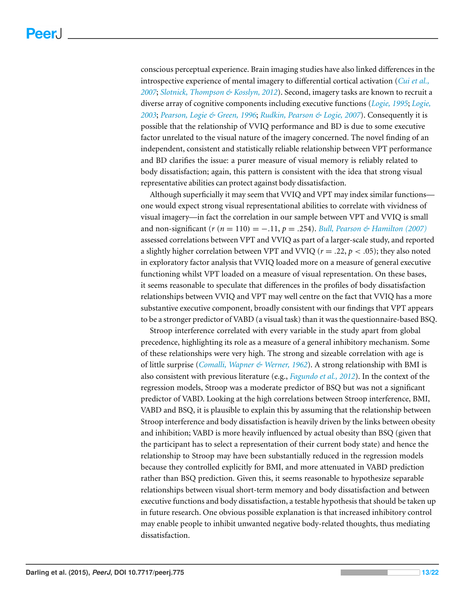conscious perceptual experience. Brain imaging studies have also linked differences in the introspective experience of mental imagery to differential cortical activation (*[Cui](#page-16-14) [et](#page-16-14) [al.,](#page-16-14) [2007](#page-16-14)*; *[Slotnick,](#page-20-16) [Thompson](#page-20-16) [&](#page-20-16) [Kosslyn,](#page-20-16) [2012](#page-20-16)*). Second, imagery tasks are known to recruit a diverse array of cognitive components including executive functions (*[Logie,](#page-18-9) [1995](#page-18-9)*; *[Logie,](#page-18-10) [2003](#page-18-10)*; *[Pearson,](#page-20-9) [Logie](#page-20-9) [&](#page-20-9) [Green,](#page-20-9) [1996](#page-20-9)*; *[Rudkin,](#page-20-10) [Pearson](#page-20-10) [&](#page-20-10) [Logie,](#page-20-10) [2007](#page-20-10)*). Consequently it is possible that the relationship of VVIQ performance and BD is due to some executive factor unrelated to the visual nature of the imagery concerned. The novel finding of an independent, consistent and statistically reliable relationship between VPT performance and BD clarifies the issue: a purer measure of visual memory is reliably related to body dissatisfaction; again, this pattern is consistent with the idea that strong visual representative abilities can protect against body dissatisfaction.

Although superficially it may seem that VVIQ and VPT may index similar functions one would expect strong visual representational abilities to correlate with vividness of visual imagery—in fact the correlation in our sample between VPT and VVIQ is small and non-significant (*r* (*n* = 110) = −.11, *p* = .254). *[Bull,](#page-16-15) [Pearson](#page-16-15) [&](#page-16-15) [Hamilton](#page-16-15) [\(2007\)](#page-16-15)* assessed correlations between VPT and VVIQ as part of a larger-scale study, and reported a slightly higher correlation between VPT and VVIQ ( $r = .22$ ,  $p < .05$ ); they also noted in exploratory factor analysis that VVIQ loaded more on a measure of general executive functioning whilst VPT loaded on a measure of visual representation. On these bases, it seems reasonable to speculate that differences in the profiles of body dissatisfaction relationships between VVIQ and VPT may well centre on the fact that VVIQ has a more substantive executive component, broadly consistent with our findings that VPT appears to be a stronger predictor of VABD (a visual task) than it was the questionnaire-based BSQ.

Stroop interference correlated with every variable in the study apart from global precedence, highlighting its role as a measure of a general inhibitory mechanism. Some of these relationships were very high. The strong and sizeable correlation with age is of little surprise (*[Comalli,](#page-16-16) [Wapner](#page-16-16) [&](#page-16-16) [Werner,](#page-16-16) [1962](#page-16-16)*). A strong relationship with BMI is also consistent with previous literature (e.g., *[Fagundo](#page-17-6) [et](#page-17-6) [al.,](#page-17-6) [2012](#page-17-6)*). In the context of the regression models, Stroop was a moderate predictor of BSQ but was not a significant predictor of VABD. Looking at the high correlations between Stroop interference, BMI, VABD and BSQ, it is plausible to explain this by assuming that the relationship between Stroop interference and body dissatisfaction is heavily driven by the links between obesity and inhibition; VABD is more heavily influenced by actual obesity than BSQ (given that the participant has to select a representation of their current body state) and hence the relationship to Stroop may have been substantially reduced in the regression models because they controlled explicitly for BMI, and more attenuated in VABD prediction rather than BSQ prediction. Given this, it seems reasonable to hypothesize separable relationships between visual short-term memory and body dissatisfaction and between executive functions and body dissatisfaction, a testable hypothesis that should be taken up in future research. One obvious possible explanation is that increased inhibitory control may enable people to inhibit unwanted negative body-related thoughts, thus mediating dissatisfaction.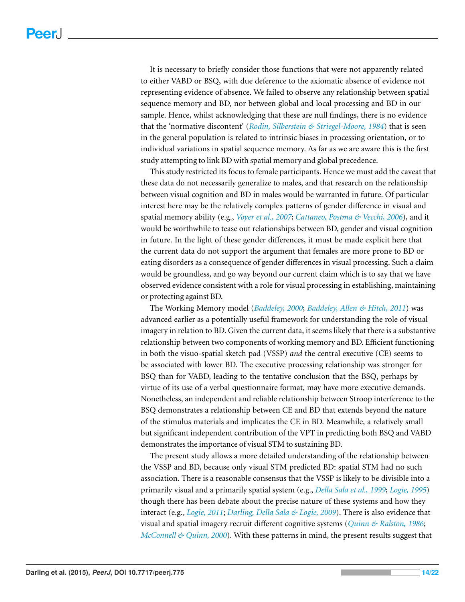It is necessary to briefly consider those functions that were not apparently related to either VABD or BSQ, with due deference to the axiomatic absence of evidence not representing evidence of absence. We failed to observe any relationship between spatial sequence memory and BD, nor between global and local processing and BD in our sample. Hence, whilst acknowledging that these are null findings, there is no evidence that the 'normative discontent' (*[Rodin,](#page-20-0) [Silberstein](#page-20-0) [&](#page-20-0) [Striegel-Moore,](#page-20-0) [1984](#page-20-0)*) that is seen in the general population is related to intrinsic biases in processing orientation, or to individual variations in spatial sequence memory. As far as we are aware this is the first study attempting to link BD with spatial memory and global precedence.

This study restricted its focus to female participants. Hence we must add the caveat that these data do not necessarily generalize to males, and that research on the relationship between visual cognition and BD in males would be warranted in future. Of particular interest here may be the relatively complex patterns of gender difference in visual and spatial memory ability (e.g., *[Voyer](#page-21-6) [et](#page-21-6) [al.,](#page-21-6) [2007](#page-21-6)*; *[Cattaneo,](#page-16-17) [Postma](#page-16-17) [&](#page-16-17) [Vecchi,](#page-16-17) [2006](#page-16-17)*), and it would be worthwhile to tease out relationships between BD, gender and visual cognition in future. In the light of these gender differences, it must be made explicit here that the current data do not support the argument that females are more prone to BD or eating disorders as a consequence of gender differences in visual processing. Such a claim would be groundless, and go way beyond our current claim which is to say that we have observed evidence consistent with a role for visual processing in establishing, maintaining or protecting against BD.

The Working Memory model (*[Baddeley,](#page-16-13) [2000](#page-16-13)*; *[Baddeley,](#page-16-5) [Allen](#page-16-5) [&](#page-16-5) [Hitch,](#page-16-5) [2011](#page-16-5)*) was advanced earlier as a potentially useful framework for understanding the role of visual imagery in relation to BD. Given the current data, it seems likely that there is a substantive relationship between two components of working memory and BD. Efficient functioning in both the visuo-spatial sketch pad (VSSP) *and* the central executive (CE) seems to be associated with lower BD. The executive processing relationship was stronger for BSQ than for VABD, leading to the tentative conclusion that the BSQ, perhaps by virtue of its use of a verbal questionnaire format, may have more executive demands. Nonetheless, an independent and reliable relationship between Stroop interference to the BSQ demonstrates a relationship between CE and BD that extends beyond the nature of the stimulus materials and implicates the CE in BD. Meanwhile, a relatively small but significant independent contribution of the VPT in predicting both BSQ and VABD demonstrates the importance of visual STM to sustaining BD.

The present study allows a more detailed understanding of the relationship between the VSSP and BD, because only visual STM predicted BD: spatial STM had no such association. There is a reasonable consensus that the VSSP is likely to be divisible into a primarily visual and a primarily spatial system (e.g., *[Della](#page-17-9) [Sala](#page-17-9) [et](#page-17-9) [al.,](#page-17-9) [1999](#page-17-9)*; *[Logie,](#page-18-9) [1995](#page-18-9)*) though there has been debate about the precise nature of these systems and how they interact (e.g., *[Logie,](#page-18-14) [2011](#page-18-14)*; *[Darling,](#page-17-13) [Della](#page-17-13) [Sala](#page-17-13) [&](#page-17-13) [Logie,](#page-17-13) [2009](#page-17-13)*). There is also evidence that visual and spatial imagery recruit different cognitive systems (*[Quinn](#page-20-11) [&](#page-20-11) [Ralston,](#page-20-11) [1986](#page-20-11)*; *[McConnell](#page-19-15) [&](#page-19-15) [Quinn,](#page-19-15) [2000](#page-19-15)*). With these patterns in mind, the present results suggest that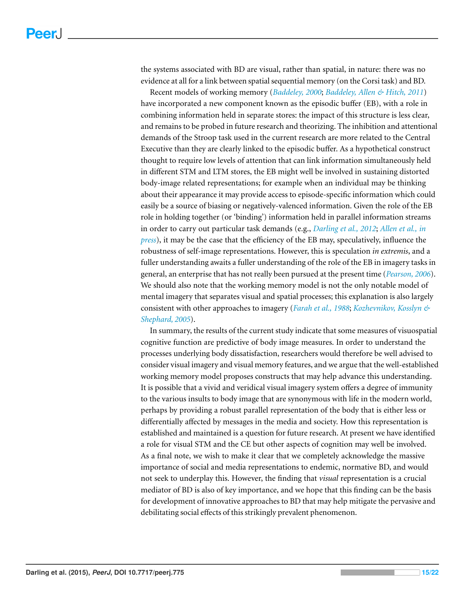the systems associated with BD are visual, rather than spatial, in nature: there was no evidence at all for a link between spatial sequential memory (on the Corsi task) and BD.

Recent models of working memory (*[Baddeley,](#page-16-13) [2000](#page-16-13)*; *[Baddeley,](#page-16-5) [Allen](#page-16-5) [&](#page-16-5) [Hitch,](#page-16-5) [2011](#page-16-5)*) have incorporated a new component known as the episodic buffer (EB), with a role in combining information held in separate stores: the impact of this structure is less clear, and remains to be probed in future research and theorizing. The inhibition and attentional demands of the Stroop task used in the current research are more related to the Central Executive than they are clearly linked to the episodic buffer. As a hypothetical construct thought to require low levels of attention that can link information simultaneously held in different STM and LTM stores, the EB might well be involved in sustaining distorted body-image related representations; for example when an individual may be thinking about their appearance it may provide access to episode-specific information which could easily be a source of biasing or negatively-valenced information. Given the role of the EB role in holding together (or 'binding') information held in parallel information streams in order to carry out particular task demands (e.g., *[Darling](#page-17-14) [et](#page-17-14) [al.,](#page-17-14) [2012](#page-17-14)*; *[Allen](#page-15-5) [et](#page-15-5) [al.,](#page-15-5) [in](#page-15-5) [press](#page-15-5)*), it may be the case that the efficiency of the EB may, speculatively, influence the robustness of self-image representations. However, this is speculation *in extremis*, and a fuller understanding awaits a fuller understanding of the role of the EB in imagery tasks in general, an enterprise that has not really been pursued at the present time (*[Pearson,](#page-19-16) [2006](#page-19-16)*). We should also note that the working memory model is not the only notable model of mental imagery that separates visual and spatial processes; this explanation is also largely consistent with other approaches to imagery (*[Farah](#page-17-15) [et](#page-17-15) [al.,](#page-17-15) [1988](#page-17-15)*; *[Kozhevnikov,](#page-18-15) [Kosslyn](#page-18-15) [&](#page-18-15) [Shephard,](#page-18-15) [2005](#page-18-15)*).

In summary, the results of the current study indicate that some measures of visuospatial cognitive function are predictive of body image measures. In order to understand the processes underlying body dissatisfaction, researchers would therefore be well advised to consider visual imagery and visual memory features, and we argue that the well-established working memory model proposes constructs that may help advance this understanding. It is possible that a vivid and veridical visual imagery system offers a degree of immunity to the various insults to body image that are synonymous with life in the modern world, perhaps by providing a robust parallel representation of the body that is either less or differentially affected by messages in the media and society. How this representation is established and maintained is a question for future research. At present we have identified a role for visual STM and the CE but other aspects of cognition may well be involved. As a final note, we wish to make it clear that we completely acknowledge the massive importance of social and media representations to endemic, normative BD, and would not seek to underplay this. However, the finding that *visual* representation is a crucial mediator of BD is also of key importance, and we hope that this finding can be the basis for development of innovative approaches to BD that may help mitigate the pervasive and debilitating social effects of this strikingly prevalent phenomenon.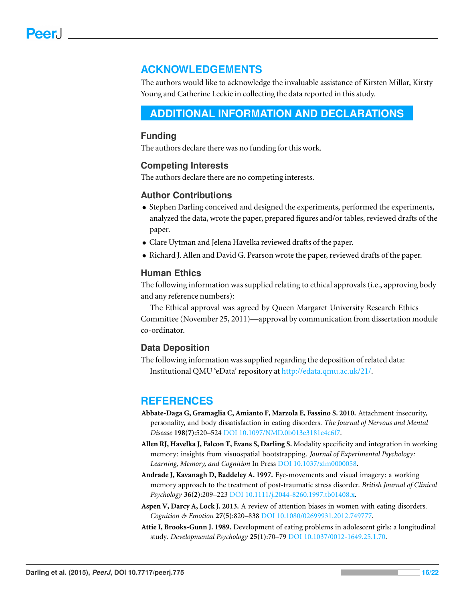## **ACKNOWLEDGEMENTS**

The authors would like to acknowledge the invaluable assistance of Kirsten Millar, Kirsty Young and Catherine Leckie in collecting the data reported in this study.

## <span id="page-15-0"></span>**ADDITIONAL INFORMATION AND DECLARATIONS**

#### **Funding**

The authors declare there was no funding for this work.

#### **Competing Interests**

The authors declare there are no competing interests.

#### **Author Contributions**

- Stephen Darling conceived and designed the experiments, performed the experiments, analyzed the data, wrote the paper, prepared figures and/or tables, reviewed drafts of the paper.
- Clare Uytman and Jelena Havelka reviewed drafts of the paper.
- Richard J. Allen and David G. Pearson wrote the paper, reviewed drafts of the paper.

#### **Human Ethics**

The following information was supplied relating to ethical approvals (i.e., approving body and any reference numbers):

The Ethical approval was agreed by Queen Margaret University Research Ethics Committee (November 25, 2011)—approval by communication from dissertation module co-ordinator.

#### **Data Deposition**

The following information was supplied regarding the deposition of related data: Institutional QMU 'eData' repository at [http://edata.qmu.ac.uk/21/.](http://edata.qmu.ac.uk/21/)

## **REFERENCES**

- <span id="page-15-2"></span>**Abbate-Daga G, Gramaglia C, Amianto F, Marzola E, Fassino S. 2010.** Attachment insecurity, personality, and body dissatisfaction in eating disorders. *The Journal of Nervous and Mental Disease* **198(7)**:520–524 DOI [10.1097/NMD.0b013e3181e4c6f7.](http://dx.doi.org/10.1097/NMD.0b013e3181e4c6f7)
- <span id="page-15-5"></span>**Allen RJ, Havelka J, Falcon T, Evans S, Darling S.** Modality specificity and integration in working memory: insights from visuospatial bootstrapping. *Journal of Experimental Psychology: Learning, Memory, and Cognition* In Press DOI [10.1037/xlm0000058.](http://dx.doi.org/10.1037/xlm0000058)
- <span id="page-15-4"></span>**Andrade J, Kavanagh D, Baddeley A. 1997.** Eye-movements and visual imagery: a working memory approach to the treatment of post-traumatic stress disorder. *British Journal of Clinical Psychology* **36(2)**:209–223 DOI [10.1111/j.2044-8260.1997.tb01408.x.](http://dx.doi.org/10.1111/j.2044-8260.1997.tb01408.x)
- <span id="page-15-3"></span>**Aspen V, Darcy A, Lock J. 2013.** A review of attention biases in women with eating disorders. *Cognition & Emotion* **27(5)**:820–838 DOI [10.1080/02699931.2012.749777.](http://dx.doi.org/10.1080/02699931.2012.749777)
- <span id="page-15-1"></span>**Attie I, Brooks-Gunn J. 1989.** Development of eating problems in adolescent girls: a longitudinal study. *Developmental Psychology* **25(1)**:70–79 DOI [10.1037/0012-1649.25.1.70.](http://dx.doi.org/10.1037/0012-1649.25.1.70)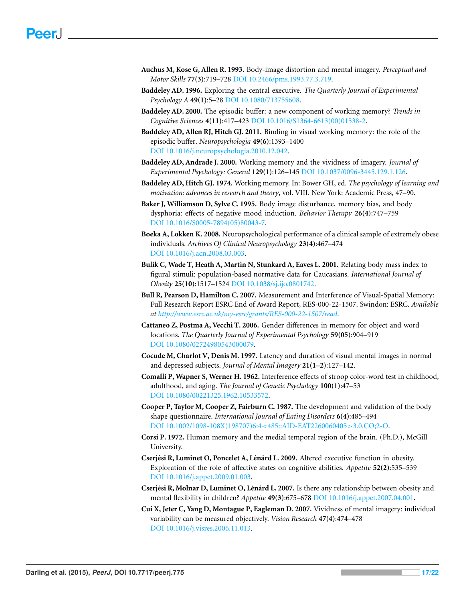- <span id="page-16-6"></span>**Auchus M, Kose G, Allen R. 1993.** Body-image distortion and mental imagery. *Perceptual and Motor Skills* **77(3)**:719–728 DOI [10.2466/pms.1993.77.3.719.](http://dx.doi.org/10.2466/pms.1993.77.3.719)
- <span id="page-16-9"></span>**Baddeley AD. 1996.** Exploring the central executive. *The Quarterly Journal of Experimental Psychology A* **49(1)**:5–28 DOI [10.1080/713755608.](http://dx.doi.org/10.1080/713755608)
- <span id="page-16-13"></span>**Baddeley AD. 2000.** The episodic buffer: a new component of working memory? *Trends in Cognitive Sciences* **4(11)**:417–423 DOI [10.1016/S1364-6613\(00\)01538-2.](http://dx.doi.org/10.1016/S1364-6613(00)01538-2)
- <span id="page-16-5"></span>**Baddeley AD, Allen RJ, Hitch GJ. 2011.** Binding in visual working memory: the role of the episodic buffer. *Neuropsychologia* **49(6)**:1393–1400 DOI [10.1016/j.neuropsychologia.2010.12.042.](http://dx.doi.org/10.1016/j.neuropsychologia.2010.12.042)
- <span id="page-16-8"></span>**Baddeley AD, Andrade J. 2000.** Working memory and the vividness of imagery. *Journal of Experimental Psychology: General* **129(1)**:126–145 DOI [10.1037/0096-3445.129.1.126.](http://dx.doi.org/10.1037/0096-3445.129.1.126)
- <span id="page-16-4"></span>**Baddeley AD, Hitch GJ. 1974.** Working memory. In: Bower GH, ed. *The psychology of learning and motivation: advances in research and theory*, vol. VIII. New York: Academic Press, 47–90.
- <span id="page-16-0"></span>**Baker J, Williamson D, Sylve C. 1995.** Body image disturbance, memory bias, and body dysphoria: effects of negative mood induction. *Behavior Therapy* **26(4)**:747–759 DOI [10.1016/S0005-7894\(05\)80043-7.](http://dx.doi.org/10.1016/S0005-7894(05)80043-7)
- <span id="page-16-1"></span>**Boeka A, Lokken K. 2008.** Neuropsychological performance of a clinical sample of extremely obese individuals. *Archives Of Clinical Neuropsychology* **23(4)**:467–474 DOI [10.1016/j.acn.2008.03.003.](http://dx.doi.org/10.1016/j.acn.2008.03.003)
- <span id="page-16-11"></span>**Bulik C, Wade T, Heath A, Martin N, Stunkard A, Eaves L. 2001.** Relating body mass index to figural stimuli: population-based normative data for Caucasians. *International Journal of Obesity* **25(10)**:1517–1524 DOI [10.1038/sj.ijo.0801742.](http://dx.doi.org/10.1038/sj.ijo.0801742)
- <span id="page-16-15"></span>**Bull R, Pearson D, Hamilton C. 2007.** Measurement and Interference of Visual-Spatial Memory: Full Research Report ESRC End of Award Report, RES-000-22-1507. Swindon: ESRC. *Available at <http://www.esrc.ac.uk/my-esrc/grants/RES-000-22-1507/read>*.
- <span id="page-16-17"></span>**Cattaneo Z, Postma A, Vecchi T. 2006.** Gender differences in memory for object and word locations. *The Quarterly Journal of Experimental Psychology* **59(05)**:904–919 DOI [10.1080/02724980543000079.](http://dx.doi.org/10.1080/02724980543000079)
- <span id="page-16-12"></span>**Cocude M, Charlot V, Denis M. 1997.** Latency and duration of visual mental images in normal and depressed subjects. *Journal of Mental Imagery* **21(1–2)**:127–142.
- <span id="page-16-16"></span>**Comalli P, Wapner S, Werner H. 1962.** Interference effects of stroop color-word test in childhood, adulthood, and aging. *The Journal of Genetic Psychology* **100(1)**:47–53 DOI [10.1080/00221325.1962.10533572.](http://dx.doi.org/10.1080/00221325.1962.10533572)
- <span id="page-16-10"></span>**Cooper P, Taylor M, Cooper Z, Fairburn C. 1987.** The development and validation of the body shape questionnaire. *International Journal of Eating Disorders* **6(4)**:485–494 DOI [10.1002/1098-108X\(198707\)6:4](http://dx.doi.org/10.1002/1098-108X(198707)6:4%3C485::AID-EAT2260060405%3E3.0.CO;2-O)<485::AID-EAT2260060405>3.0.CO;2-O.
- <span id="page-16-7"></span>**Corsi P. 1972.** Human memory and the medial temporal region of the brain. (Ph.D.), McGill University.
- <span id="page-16-2"></span>**Cserjesi R, Luminet O, Poncelet A, L ´ en´ ard L. 2009. ´** Altered executive function in obesity. Exploration of the role of affective states on cognitive abilities. *Appetite* **52(2)**:535–539 DOI [10.1016/j.appet.2009.01.003.](http://dx.doi.org/10.1016/j.appet.2009.01.003)
- <span id="page-16-3"></span>**Cserjési R, Molnar D, Luminet O, Lénárd L. 2007.** Is there any relationship between obesity and mental flexibility in children? *Appetite* **49(3)**:675–678 DOI [10.1016/j.appet.2007.04.001.](http://dx.doi.org/10.1016/j.appet.2007.04.001)
- <span id="page-16-14"></span>**Cui X, Jeter C, Yang D, Montague P, Eagleman D. 2007.** Vividness of mental imagery: individual variability can be measured objectively. *Vision Research* **47(4)**:474–478 DOI [10.1016/j.visres.2006.11.013.](http://dx.doi.org/10.1016/j.visres.2006.11.013)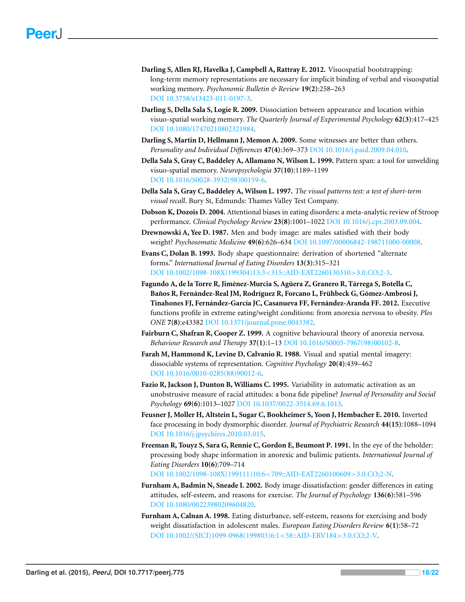- <span id="page-17-14"></span>**Darling S, Allen RJ, Havelka J, Campbell A, Rattray E. 2012.** Visuospatial bootstrapping: long-term memory representations are necessary for implicit binding of verbal and visuospatial working memory. *Psychonomic Bulletin & Review* **19(2)**:258–263 DOI [10.3758/s13423-011-0197-3.](http://dx.doi.org/10.3758/s13423-011-0197-3)
- <span id="page-17-13"></span>**Darling S, Della Sala S, Logie R. 2009.** Dissociation between appearance and location within visuo-spatial working memory. *The Quarterly Journal of Experimental Psychology* **62(3)**:417–425 DOI [10.1080/17470210802321984.](http://dx.doi.org/10.1080/17470210802321984)
- <span id="page-17-10"></span>**Darling S, Martin D, Hellmann J, Memon A. 2009.** Some witnesses are better than others. *Personality and Individual Differences* **47(4)**:369–373 DOI [10.1016/j.paid.2009.04.010.](http://dx.doi.org/10.1016/j.paid.2009.04.010)
- <span id="page-17-9"></span>**Della Sala S, Gray C, Baddeley A, Allamano N, Wilson L. 1999.** Pattern span: a tool for unwelding visuo-spatial memory. *Neuropsychologia* **37(10)**:1189–1199 DOI [10.1016/S0028-3932\(98\)00159-6.](http://dx.doi.org/10.1016/S0028-3932(98)00159-6)
- <span id="page-17-8"></span>**Della Sala S, Gray C, Baddeley A, Wilson L. 1997.** *The visual patterns test: a test of short-term visual recall*. Bury St, Edmunds: Thames Valley Test Company.
- <span id="page-17-7"></span>**Dobson K, Dozois D. 2004.** Attentional biases in eating disorders: a meta-analytic review of Stroop performance. *Clinical Psychology Review* **23(8)**:1001–1022 DOI [10.1016/j.cpr.2003.09.004.](http://dx.doi.org/10.1016/j.cpr.2003.09.004)
- <span id="page-17-2"></span>**Drewnowski A, Yee D. 1987.** Men and body image: are males satisfied with their body weight? *Psychosomatic Medicine* **49(6)**:626–634 DOI [10.1097/00006842-198711000-00008.](http://dx.doi.org/10.1097/00006842-198711000-00008)
- <span id="page-17-12"></span>**Evans C, Dolan B. 1993.** Body shape questionnaire: derivation of shortened "alternate forms." *International Journal of Eating Disorders* **13(3)**:315–321 DOI [10.1002/1098-108X\(199304\)13:3](http://dx.doi.org/10.1002/1098-108X(199304)13:3%3C315::AID-EAT2260130310%3E3.0.CO;2-3)<315::AID-EAT2260130310>3.0.CO;2-3.
- <span id="page-17-6"></span>**Fagundo A, de la Torre R, Jimenez-Murcia S, Ag ´ uera Z, Granero R, T ¨ arrega S, Botella C, ´ Banos R, Fern ˜ andez-Real JM, Rodr ´ ´ıguez R, Forcano L, Fruhbeck G, G ¨ omez-Ambrosi J, ´ Tinahones FJ, Fernandez-Garc ´ ´ıa JC, Casanueva FF, Fernandez-Aranda FF. 2012. ´** Executive functions profile in extreme eating/weight conditions: from anorexia nervosa to obesity. *Plos ONE* **7(8)**:e43382 DOI [10.1371/journal.pone.0043382.](http://dx.doi.org/10.1371/journal.pone.0043382)
- <span id="page-17-5"></span>**Fairburn C, Shafran R, Cooper Z. 1999.** A cognitive behavioural theory of anorexia nervosa. *Behaviour Research and Therapy* **37(1)**:1–13 DOI [10.1016/S0005-7967\(98\)00102-8.](http://dx.doi.org/10.1016/S0005-7967(98)00102-8)
- <span id="page-17-15"></span>**Farah M, Hammond K, Levine D, Calvanio R. 1988.** Visual and spatial mental imagery: dissociable systems of representation. *Cognitive Psychology* **20(4)**:439–462 DOI [10.1016/0010-0285\(88\)90012-6.](http://dx.doi.org/10.1016/0010-0285(88)90012-6)
- <span id="page-17-3"></span>**Fazio R, Jackson J, Dunton B, Williams C. 1995.** Variability in automatic activation as an unobstrusive measure of racial attitudes: a bona fide pipeline? *Journal of Personality and Social Psychology* **69(6)**:1013–1027 DOI [10.1037/0022-3514.69.6.1013.](http://dx.doi.org/10.1037/0022-3514.69.6.1013)
- <span id="page-17-11"></span>**Feusner J, Moller H, Altstein L, Sugar C, Bookheimer S, Yoon J, Hembacher E. 2010.** Inverted face processing in body dysmorphic disorder. *Journal of Psychiatric Research* **44(15)**:1088–1094 DOI [10.1016/j.jpsychires.2010.03.015.](http://dx.doi.org/10.1016/j.jpsychires.2010.03.015)
- <span id="page-17-4"></span>**Freeman R, Touyz S, Sara G, Rennie C, Gordon E, Beumont P. 1991.** In the eye of the beholder: processing body shape information in anorexic and bulimic patients. *International Journal of Eating Disorders* **10(6)**:709–714

DOI [10.1002/1098-108X\(199111\)10:6](http://dx.doi.org/10.1002/1098-108X(199111)10:6%3C709::AID-EAT2260100609%3E3.0.CO;2-N)<709::AID-EAT2260100609>3.0.CO;2-N.

- <span id="page-17-1"></span>**Furnham A, Badmin N, Sneade I. 2002.** Body image dissatisfaction: gender differences in eating attitudes, self-esteem, and reasons for exercise. *The Journal of Psychology* **136(6)**:581–596 DOI [10.1080/00223980209604820.](http://dx.doi.org/10.1080/00223980209604820)
- <span id="page-17-0"></span>**Furnham A, Calnan A. 1998.** Eating disturbance, self-esteem, reasons for exercising and body weight dissatisfaction in adolescent males. *European Eating Disorders Review* **6(1)**:58–72 DOI [10.1002/\(SICI\)1099-0968\(199803\)6:1](http://dx.doi.org/10.1002/(SICI)1099-0968(199803)6:1%3C58::AID-ERV184%3E3.0.CO;2-V)<58::AID-ERV184>3.0.CO;2-V.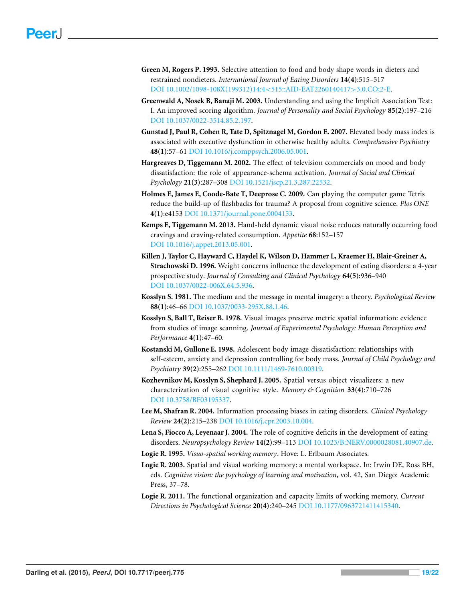- <span id="page-18-4"></span>**Green M, Rogers P. 1993.** Selective attention to food and body shape words in dieters and restrained nondieters. *International Journal of Eating Disorders* **14(4)**:515–517 DOI [10.1002/1098-108X\(199312\)14:4](http://dx.doi.org/10.1002/1098-108X(199312)14:4%3C515::AID-EAT2260140417%3E3.0.CO;2-E)<515::AID-EAT2260140417>3.0.CO;2-E.
- <span id="page-18-2"></span>**Greenwald A, Nosek B, Banaji M. 2003.** Understanding and using the Implicit Association Test: I. An improved scoring algorithm. *Journal of Personality and Social Psychology* **85(2)**:197–216 DOI [10.1037/0022-3514.85.2.197.](http://dx.doi.org/10.1037/0022-3514.85.2.197)
- <span id="page-18-6"></span>**Gunstad J, Paul R, Cohen R, Tate D, Spitznagel M, Gordon E. 2007.** Elevated body mass index is associated with executive dysfunction in otherwise healthy adults. *Comprehensive Psychiatry* **48(1)**:57–61 DOI [10.1016/j.comppsych.2006.05.001.](http://dx.doi.org/10.1016/j.comppsych.2006.05.001)
- <span id="page-18-5"></span>**Hargreaves D, Tiggemann M. 2002.** The effect of television commercials on mood and body dissatisfaction: the role of appearance-schema activation. *Journal of Social and Clinical Psychology* **21(3)**:287–308 DOI [10.1521/jscp.21.3.287.22532.](http://dx.doi.org/10.1521/jscp.21.3.287.22532)
- <span id="page-18-13"></span>**Holmes E, James E, Coode-Bate T, Deeprose C. 2009.** Can playing the computer game Tetris reduce the build-up of flashbacks for trauma? A proposal from cognitive science. *Plos ONE* **4(1)**:e4153 DOI [10.1371/journal.pone.0004153.](http://dx.doi.org/10.1371/journal.pone.0004153)
- <span id="page-18-12"></span>**Kemps E, Tiggemann M. 2013.** Hand-held dynamic visual noise reduces naturally occurring food cravings and craving-related consumption. *Appetite* **68**:152–157 DOI [10.1016/j.appet.2013.05.001.](http://dx.doi.org/10.1016/j.appet.2013.05.001)
- <span id="page-18-0"></span>**Killen J, Taylor C, Hayward C, Haydel K, Wilson D, Hammer L, Kraemer H, Blair-Greiner A, Strachowski D. 1996.** Weight concerns influence the development of eating disorders: a 4-year prospective study. *Journal of Consulting and Clinical Psychology* **64(5)**:936–940 DOI [10.1037/0022-006X.64.5.936.](http://dx.doi.org/10.1037/0022-006X.64.5.936)
- <span id="page-18-11"></span>**Kosslyn S. 1981.** The medium and the message in mental imagery: a theory. *Psychological Review* **88(1)**:46–66 DOI [10.1037/0033-295X.88.1.46.](http://dx.doi.org/10.1037/0033-295X.88.1.46)
- <span id="page-18-8"></span>**Kosslyn S, Ball T, Reiser B. 1978.** Visual images preserve metric spatial information: evidence from studies of image scanning. *Journal of Experimental Psychology: Human Perception and Performance* **4(1)**:47–60.
- <span id="page-18-1"></span>**Kostanski M, Gullone E. 1998.** Adolescent body image dissatisfaction: relationships with self-esteem, anxiety and depression controlling for body mass. *Journal of Child Psychology and Psychiatry* **39(2)**:255–262 DOI [10.1111/1469-7610.00319.](http://dx.doi.org/10.1111/1469-7610.00319)
- <span id="page-18-15"></span>**Kozhevnikov M, Kosslyn S, Shephard J. 2005.** Spatial versus object visualizers: a new characterization of visual cognitive style. *Memory & Cognition* **33(4)**:710–726 DOI [10.3758/BF03195337.](http://dx.doi.org/10.3758/BF03195337)
- <span id="page-18-3"></span>**Lee M, Shafran R. 2004.** Information processing biases in eating disorders. *Clinical Psychology Review* **24(2)**:215–238 DOI [10.1016/j.cpr.2003.10.004.](http://dx.doi.org/10.1016/j.cpr.2003.10.004)
- <span id="page-18-7"></span>**Lena S, Fiocco A, Leyenaar J. 2004.** The role of cognitive deficits in the development of eating disorders. *Neuropsychology Review* **14(2)**:99–113 DOI [10.1023/B:NERV.0000028081.40907.de.](http://dx.doi.org/10.1023/B:NERV.0000028081.40907.de)
- <span id="page-18-9"></span>**Logie R. 1995.** *Visuo-spatial working memory*. Hove: L. Erlbaum Associates.
- <span id="page-18-10"></span>**Logie R. 2003.** Spatial and visual working memory: a mental workspace. In: Irwin DE, Ross BH, eds. *Cognitive vision: the psychology of learning and motivation*, vol. 42, San Diego: Academic Press, 37–78.
- <span id="page-18-14"></span>**Logie R. 2011.** The functional organization and capacity limits of working memory. *Current Directions in Psychological Science* **20(4)**:240–245 DOI [10.1177/0963721411415340.](http://dx.doi.org/10.1177/0963721411415340)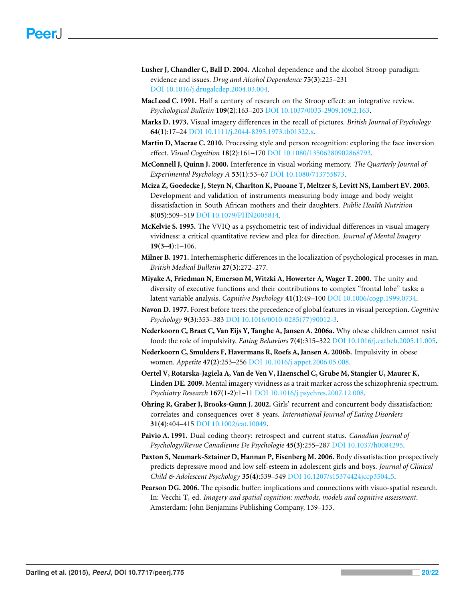- <span id="page-19-2"></span>**Lusher J, Chandler C, Ball D. 2004.** Alcohol dependence and the alcohol Stroop paradigm: evidence and issues. *Drug and Alcohol Dependence* **75(3)**:225–231 DOI [10.1016/j.drugalcdep.2004.03.004.](http://dx.doi.org/10.1016/j.drugalcdep.2004.03.004)
- <span id="page-19-9"></span>**MacLeod C. 1991.** Half a century of research on the Stroop effect: an integrative review. *Psychological Bulletin* **109(2)**:163–203 DOI [10.1037/0033-2909.109.2.163.](http://dx.doi.org/10.1037/0033-2909.109.2.163)
- <span id="page-19-6"></span>**Marks D. 1973.** Visual imagery differences in the recall of pictures. *British Journal of Psychology* **64(1)**:17–24 DOI [10.1111/j.2044-8295.1973.tb01322.x.](http://dx.doi.org/10.1111/j.2044-8295.1973.tb01322.x)
- <span id="page-19-8"></span>**Martin D, Macrae C. 2010.** Processing style and person recognition: exploring the face inversion effect. *Visual Cognition* **18(2)**:161–170 DOI [10.1080/13506280902868793.](http://dx.doi.org/10.1080/13506280902868793)
- <span id="page-19-15"></span>**McConnell J, Quinn J. 2000.** Interference in visual working memory. *The Quarterly Journal of Experimental Psychology A* **53(1)**:53–67 DOI [10.1080/713755873.](http://dx.doi.org/10.1080/713755873)
- <span id="page-19-11"></span>**Mciza Z, Goedecke J, Steyn N, Charlton K, Puoane T, Meltzer S, Levitt NS, Lambert EV. 2005.** Development and validation of instruments measuring body image and body weight dissatisfaction in South African mothers and their daughters. *Public Health Nutrition* **8(05)**:509–519 DOI [10.1079/PHN2005814.](http://dx.doi.org/10.1079/PHN2005814)
- <span id="page-19-13"></span>**McKelvie S. 1995.** The VVIQ as a psychometric test of individual differences in visual imagery vividness: a critical quantitative review and plea for direction. *Journal of Mental Imagery* **19(3–4)**:1–106.
- <span id="page-19-7"></span>**Milner B. 1971.** Interhemispheric differences in the localization of psychological processes in man. *British Medical Bulletin* **27(3)**:272–277.
- <span id="page-19-10"></span>**Miyake A, Friedman N, Emerson M, Witzki A, Howerter A, Wager T. 2000.** The unity and diversity of executive functions and their contributions to complex "frontal lobe" tasks: a latent variable analysis. *Cognitive Psychology* **41(1)**:49–100 DOI [10.1006/cogp.1999.0734.](http://dx.doi.org/10.1006/cogp.1999.0734)
- <span id="page-19-12"></span>**Navon D. 1977.** Forest before trees: the precedence of global features in visual perception. *Cognitive Psychology* **9(3)**:353–383 DOI [10.1016/0010-0285\(77\)90012-3.](http://dx.doi.org/10.1016/0010-0285(77)90012-3)
- <span id="page-19-3"></span>**Nederkoorn C, Braet C, Van Eijs Y, Tanghe A, Jansen A. 2006a.** Why obese children cannot resist food: the role of impulsivity. *Eating Behaviors* **7(4)**:315–322 DOI [10.1016/j.eatbeh.2005.11.005.](http://dx.doi.org/10.1016/j.eatbeh.2005.11.005)
- <span id="page-19-4"></span>**Nederkoorn C, Smulders F, Havermans R, Roefs A, Jansen A. 2006b.** Impulsivity in obese women. *Appetite* **47(2)**:253–256 DOI [10.1016/j.appet.2006.05.008.](http://dx.doi.org/10.1016/j.appet.2006.05.008)
- <span id="page-19-14"></span>**Oertel V, Rotarska-Jagiela A, Van de Ven V, Haenschel C, Grube M, Stangier U, Maurer K, Linden DE. 2009.** Mental imagery vividness as a trait marker across the schizophrenia spectrum. *Psychiatry Research* **167(1-2)**:1–11 DOI [10.1016/j.psychres.2007.12.008.](http://dx.doi.org/10.1016/j.psychres.2007.12.008)
- <span id="page-19-0"></span>**Ohring R, Graber J, Brooks-Gunn J. 2002.** Girls' recurrent and concurrent body dissatisfaction: correlates and consequences over 8 years. *International Journal of Eating Disorders* **31(4)**:404–415 DOI [10.1002/eat.10049.](http://dx.doi.org/10.1002/eat.10049)
- <span id="page-19-5"></span>**Paivio A. 1991.** Dual coding theory: retrospect and current status. *Canadian Journal of Psychology/Revue Canadienne De Psychologie* **45(3)**:255–287 DOI [10.1037/h0084295.](http://dx.doi.org/10.1037/h0084295)
- <span id="page-19-1"></span>**Paxton S, Neumark-Sztainer D, Hannan P, Eisenberg M. 2006.** Body dissatisfaction prospectively predicts depressive mood and low self-esteem in adolescent girls and boys. *Journal of Clinical Child & Adolescent Psychology* **35(4)**:539–549 DOI [10.1207/s15374424jccp3504](http://dx.doi.org/10.1207/s15374424jccp3504_5) 5.
- <span id="page-19-16"></span>**Pearson DG. 2006.** The episodic buffer: implications and connections with visuo-spatial research. In: Vecchi T, ed. *Imagery and spatial cognition: methods, models and cognitive assessment*. Amsterdam: John Benjamins Publishing Company, 139–153.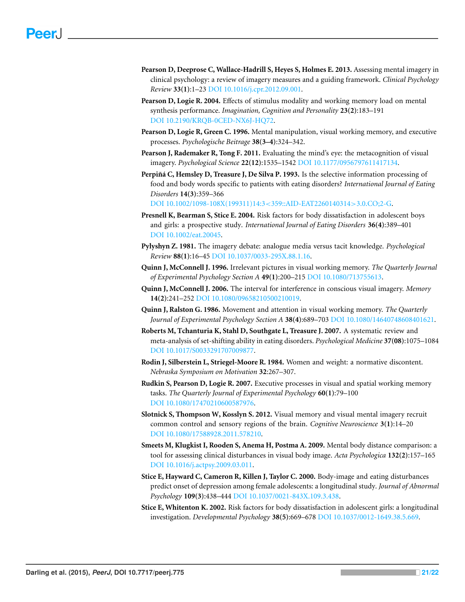- <span id="page-20-13"></span>**Pearson D, Deeprose C, Wallace-Hadrill S, Heyes S, Holmes E. 2013.** Assessing mental imagery in clinical psychology: a review of imagery measures and a guiding framework. *Clinical Psychology Review* **33(1)**:1–23 DOI [10.1016/j.cpr.2012.09.001.](http://dx.doi.org/10.1016/j.cpr.2012.09.001)
- <span id="page-20-7"></span>**Pearson D, Logie R. 2004.** Effects of stimulus modality and working memory load on mental synthesis performance. *Imagination, Cognition and Personality* **23(2)**:183–191 DOI [10.2190/KRQB-0CED-NX6J-HQ72.](http://dx.doi.org/10.2190/KRQB-0CED-NX6J-HQ72)
- <span id="page-20-9"></span>**Pearson D, Logie R, Green C. 1996.** Mental manipulation, visual working memory, and executive processes. *Psychologische Beitrage* **38(3–4)**:324–342.
- <span id="page-20-15"></span>**Pearson J, Rademaker R, Tong F. 2011.** Evaluating the mind's eye: the metacognition of visual imagery. *Psychological Science* **22(12)**:1535–1542 DOI [10.1177/0956797611417134.](http://dx.doi.org/10.1177/0956797611417134)
- <span id="page-20-4"></span>**Perpiñá C, Hemsley D, Treasure J, De Silva P. 1993.** Is the selective information processing of food and body words specific to patients with eating disorders? *International Journal of Eating Disorders* **14(3)**:359–366

DOI [10.1002/1098-108X\(199311\)14:3](http://dx.doi.org/10.1002/1098-108X(199311)14:3%3C359::AID-EAT2260140314%3E3.0.CO;2-G)<359::AID-EAT2260140314>3.0.CO;2-G.

- <span id="page-20-2"></span>**Presnell K, Bearman S, Stice E. 2004.** Risk factors for body dissatisfaction in adolescent boys and girls: a prospective study. *International Journal of Eating Disorders* **36(4)**:389–401 DOI [10.1002/eat.20045.](http://dx.doi.org/10.1002/eat.20045)
- <span id="page-20-12"></span>**Pylyshyn Z. 1981.** The imagery debate: analogue media versus tacit knowledge. *Psychological Review* **88(1)**:16–45 DOI [10.1037/0033-295X.88.1.16.](http://dx.doi.org/10.1037/0033-295X.88.1.16)
- <span id="page-20-6"></span>**Quinn J, McConnell J. 1996.** Irrelevant pictures in visual working memory. *The Quarterly Journal of Experimental Psychology Section A* **49(1)**:200–215 DOI [10.1080/713755613.](http://dx.doi.org/10.1080/713755613)
- <span id="page-20-14"></span>**Quinn J, McConnell J. 2006.** The interval for interference in conscious visual imagery. *Memory* **14(2)**:241–252 DOI [10.1080/09658210500210019.](http://dx.doi.org/10.1080/09658210500210019)
- <span id="page-20-11"></span>**Quinn J, Ralston G. 1986.** Movement and attention in visual working memory. *The Quarterly Journal of Experimental Psychology Section A* **38(4)**:689–703 DOI [10.1080/14640748608401621.](http://dx.doi.org/10.1080/14640748608401621)
- <span id="page-20-5"></span>**Roberts M, Tchanturia K, Stahl D, Southgate L, Treasure J. 2007.** A systematic review and meta-analysis of set-shifting ability in eating disorders. *Psychological Medicine* **37(08)**:1075–1084 DOI [10.1017/S0033291707009877.](http://dx.doi.org/10.1017/S0033291707009877)
- <span id="page-20-0"></span>**Rodin J, Silberstein L, Striegel-Moore R. 1984.** Women and weight: a normative discontent. *Nebraska Symposium on Motivation* **32**:267–307.
- <span id="page-20-10"></span>**Rudkin S, Pearson D, Logie R. 2007.** Executive processes in visual and spatial working memory tasks. *The Quarterly Journal of Experimental Psychology* **60(1)**:79–100 DOI [10.1080/17470210600587976.](http://dx.doi.org/10.1080/17470210600587976)
- <span id="page-20-16"></span>**Slotnick S, Thompson W, Kosslyn S. 2012.** Visual memory and visual mental imagery recruit common control and sensory regions of the brain. *Cognitive Neuroscience* **3(1)**:14–20 DOI [10.1080/17588928.2011.578210.](http://dx.doi.org/10.1080/17588928.2011.578210)
- <span id="page-20-8"></span>**Smeets M, Klugkist I, Rooden S, Anema H, Postma A. 2009.** Mental body distance comparison: a tool for assessing clinical disturbances in visual body image. *Acta Psychologica* **132(2)**:157–165 DOI [10.1016/j.actpsy.2009.03.011.](http://dx.doi.org/10.1016/j.actpsy.2009.03.011)
- <span id="page-20-3"></span>**Stice E, Hayward C, Cameron R, Killen J, Taylor C. 2000.** Body-image and eating disturbances predict onset of depression among female adolescents: a longitudinal study. *Journal of Abnormal Psychology* **109(3)**:438–444 DOI [10.1037/0021-843X.109.3.438.](http://dx.doi.org/10.1037/0021-843X.109.3.438)
- <span id="page-20-1"></span>**Stice E, Whitenton K. 2002.** Risk factors for body dissatisfaction in adolescent girls: a longitudinal investigation. *Developmental Psychology* **38(5)**:669–678 DOI [10.1037/0012-1649.38.5.669.](http://dx.doi.org/10.1037/0012-1649.38.5.669)